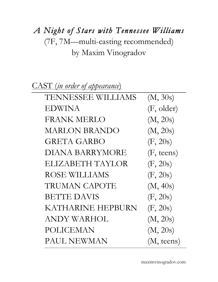# *A Night of Stars with Tennessee Williams*  (7F, 7M—multi-casting recommended) by Maxim Vinogradov

| (M, 30s)            |
|---------------------|
| (F, older)          |
| (M, 20s)            |
| (M, 20s)            |
| (F, 20s)            |
| $(F, \text{teens})$ |
| (F, 20s)            |
| (F, 20s)            |
| (M, 40s)            |
| (F, 20s)            |
| (F, 20s)            |
| (M, 20s)            |
| (M, 20s)            |
| $(M, \text{teens})$ |
|                     |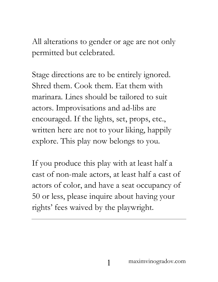All alterations to gender or age are not only permitted but celebrated.

Stage directions are to be entirely ignored. Shred them. Cook them. Eat them with marinara. Lines should be tailored to suit actors. Improvisations and ad-libs are encouraged. If the lights, set, props, etc., written here are not to your liking, happily explore. This play now belongs to you.

If you produce this play with at least half a cast of non-male actors, at least half a cast of actors of color, and have a seat occupancy of 50 or less, please inquire about having your rights' fees waived by the playwright.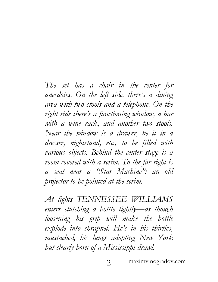*The set has a chair in the center for anecdotes. On the left side, there's a dining area with two stools and a telephone. On the right side there's a functioning window, a bar with a wine rack, and another two stools. Near the window is a drawer, be it in a dresser, nightstand, etc., to be filled with various objects. Behind the center stage is a room covered with a scrim. To the far right is a seat near a "Star Machine": an old projector to be pointed at the scrim.*

*At lights TENNESSEE WILLIAMS enters clutching a bottle tightly—as though loosening his grip will make the bottle explode into shrapnel. He's in his thirties, mustached, his lungs adopting New York but clearly born of a Mississippi drawl.*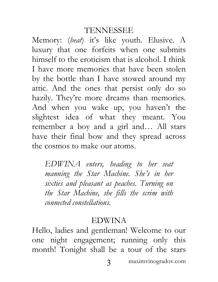Memory: (*beat*) it's like youth. Elusive. A luxury that one forfeits when one submits himself to the eroticism that is alcohol. I think I have more memories that have been stolen by the bottle than I have stowed around my attic. And the ones that persist only do so hazily. They're more dreams than memories. And when you wake up, you haven't the slightest idea of what they meant. You remember a boy and a girl and… All stars have their final bow and they spread across the cosmos to make our atoms.

*EDWINA enters, heading to her seat manning the Star Machine. She's in her sixties and pleasant as peaches. Turning on the Star Machine, she fills the scrim with connected constellations.*

#### EDWINA

Hello, ladies and gentleman! Welcome to our one night engagement; running only this month! Tonight shall be a tour of the stars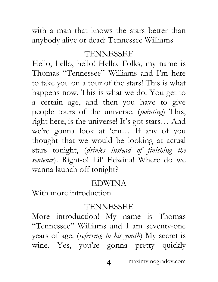with a man that knows the stars better than anybody alive or dead: Tennessee Williams!

# TENNESSEE

Hello, hello, hello! Hello. Folks, my name is Thomas "Tennessee" Williams and I'm here to take you on a tour of the stars! This is what happens now. This is what we do. You get to a certain age, and then you have to give people tours of the universe. (*pointing*) This, right here, is the universe! It's got stars… And we're gonna look at 'em… If any of you thought that we would be looking at actual stars tonight, (*drinks instead of finishing the sentence*). Right-o! Lil' Edwina! Where do we wanna launch off tonight?

#### EDWINA

With more introduction!

#### TENNESSEE

More introduction! My name is Thomas "Tennessee" Williams and I am seventy-one years of age. (*referring to his youth*) My secret is wine. Yes, you're gonna pretty quickly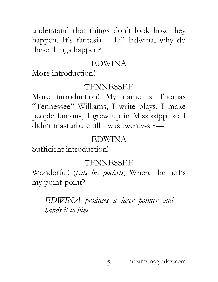understand that things don't look how they happen. It's fantasia… Lil' Edwina, why do these things happen?

#### EDWINA

More introduction!

## TENNESSEE

More introduction! My name is Thomas "Tennessee" Williams, I write plays, I make people famous, I grew up in Mississippi so I didn't masturbate till I was twenty-six—

## EDWINA

Sufficient introduction!

# TENNESSEE

Wonderful! (*pats his pockets*) Where the hell's my point-point?

*EDWINA produces a laser pointer and hands it to him.*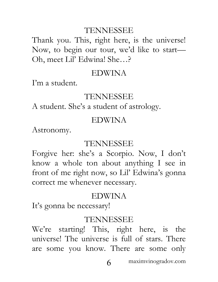Thank you. This, right here, is the universe! Now, to begin our tour, we'd like to start— Oh, meet Lil' Edwina! She…?

#### EDWINA

I'm a student.

#### TENNESSEE

A student. She's a student of astrology.

#### EDWINA

Astronomy.

#### TENNESSEE

Forgive her: she's a Scorpio. Now, I don't know a whole ton about anything I see in front of me right now, so Lil' Edwina's gonna correct me whenever necessary.

## EDWINA

It's gonna be necessary!

#### TENNESSEE

We're starting! This, right here, is the universe! The universe is full of stars. There are some you know. There are some only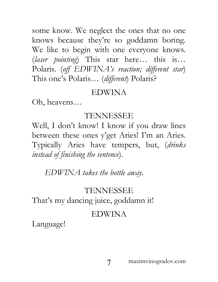some know. We neglect the ones that no one knows because they're so goddamn boring. We like to begin with one everyone knows. (*laser pointing*) This star here… this is… Polaris. (*off EDWINA's reaction; different star*) This one's Polaris… (*different*) Polaris?

#### EDWINA

Oh, heavens…

## TENNESSEE

Well, I don't know! I know if you draw lines between these ones y'get Aries! I'm an Aries. Typically Aries have tempers, but, (*drinks instead of finishing the sentence*).

*EDWINA takes the bottle away.*

# TENNESSEE

That's my dancing juice, goddamn it!

# EDWINA

Language!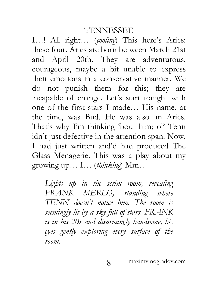I…! All right… (*cooling*) This here's Aries: these four. Aries are born between March 21st and April 20th. They are adventurous, courageous, maybe a bit unable to express their emotions in a conservative manner. We do not punish them for this; they are incapable of change. Let's start tonight with one of the first stars I made… His name, at the time, was Bud. He was also an Aries. That's why I'm thinking 'bout him; ol' Tenn idn't just defective in the attention span. Now, I had just written and'd had produced The Glass Menagerie. This was a play about my growing up… I… (*thinking*) Mm…

*Lights up in the scrim room, revealing FRANK MERLO, standing where TENN doesn't notice him. The room is seemingly lit by a sky full of stars. FRANK is in his 20s and disarmingly handsome, his eyes gently exploring every surface of the room.*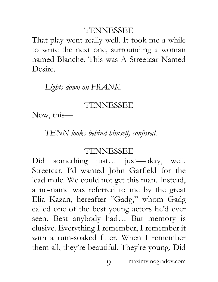That play went really well. It took me a while to write the next one, surrounding a woman named Blanche. This was A Streetcar Named Desire.

## *Lights down on FRANK.*

## TENNESSEE

Now, this—

*TENN looks behind himself, confused.*

#### TENNESSEE

Did something just… just—okay, well. Streetcar. I'd wanted John Garfield for the lead male. We could not get this man. Instead, a no-name was referred to me by the great Elia Kazan, hereafter "Gadg," whom Gadg called one of the best young actors he'd ever seen. Best anybody had… But memory is elusive. Everything I remember, I remember it with a rum-soaked filter. When I remember them all, they're beautiful. They're young. Did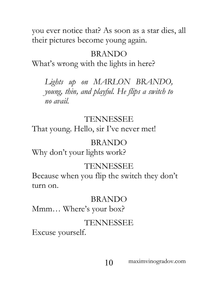you ever notice that? As soon as a star dies, all their pictures become young again.

# BRANDO

What's wrong with the lights in here?

*Lights up on MARLON BRANDO, young, thin, and playful. He flips a switch to no avail.*

# TENNESSEE

That young. Hello, sir I've never met!

# BRANDO

Why don't your lights work?

# TENNESSEE

Because when you flip the switch they don't turn on.

# BRANDO

Mmm… Where's your box?

# TENNESSEE

Excuse yourself.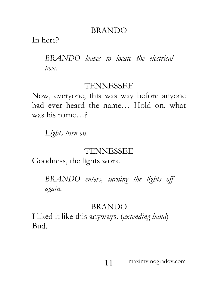## BRANDO

In here?

*BRANDO leaves to locate the electrical box.*

#### TENNESSEE

Now, everyone, this was way before anyone had ever heard the name… Hold on, what was his name…?

*Lights turn on.*

#### TENNESSEE

Goodness, the lights work.

*BRANDO enters, turning the lights off again.*

#### BRANDO

I liked it like this anyways. (*extending hand*) Bud.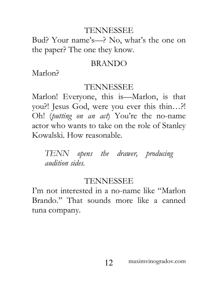Bud? Your name's—? No, what's the one on the paper? The one they know.

#### BRANDO

Marlon?

#### TENNESSEE

Marlon! Everyone, this is—Marlon, is that you?! Jesus God, were you ever this thin…?! Oh! (*putting on an act*) You're the no-name actor who wants to take on the role of Stanley Kowalski. How reasonable.

*TENN opens the drawer, producing audition sides.*

#### TENNESSEE

I'm not interested in a no-name like "Marlon Brando." That sounds more like a canned tuna company.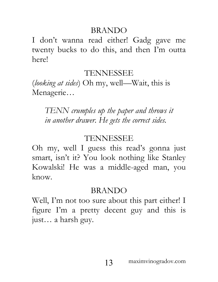#### BRANDO

I don't wanna read either! Gadg gave me twenty bucks to do this, and then I'm outta here!

# TENNESSEE

(*looking at sides*) Oh my, well—Wait, this is Menagerie…

*TENN crumples up the paper and throws it in another drawer. He gets the correct sides.*

# TENNESSEE

Oh my, well I guess this read's gonna just smart, isn't it? You look nothing like Stanley Kowalski! He was a middle-aged man, you know.

# BRANDO

Well, I'm not too sure about this part either! I figure I'm a pretty decent guy and this is just… a harsh guy.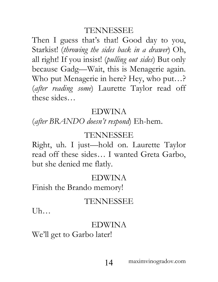Then I guess that's that! Good day to you, Starkist! (*throwing the sides back in a drawer*) Oh, all right! If you insist! (*pulling out sides*) But only because Gadg—Wait, this is Menagerie again. Who put Menagerie in here? Hey, who put…? (*after reading some*) Laurette Taylor read off these sides…

#### EDWINA

(*after BRANDO doesn't respond*) Eh-hem.

#### TENNESSEE

Right, uh. I just—hold on. Laurette Taylor read off these sides… I wanted Greta Garbo, but she denied me flatly.

## EDWINA

Finish the Brando memory!

## TENNESSEE

Uh…

#### EDWINA

We'll get to Garbo later!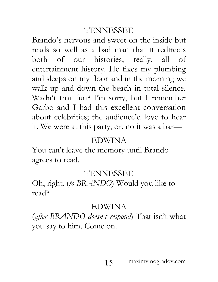Brando's nervous and sweet on the inside but reads so well as a bad man that it redirects both of our histories; really, all of entertainment history. He fixes my plumbing and sleeps on my floor and in the morning we walk up and down the beach in total silence. Wadn't that fun? I'm sorry, but I remember Garbo and I had this excellent conversation about celebrities; the audience'd love to hear it. We were at this party, or, no it was a bar—

#### EDWINA

You can't leave the memory until Brando agrees to read.

## TENNESSEE

Oh, right. (*to BRANDO*) Would you like to read?

#### EDWINA

(*after BRANDO doesn't respond*) That isn't what you say to him. Come on.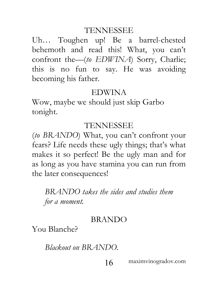Uh… Toughen up! Be a barrel-chested behemoth and read this! What, you can't confront the—(*to EDWINA*) Sorry, Charlie; this is no fun to say. He was avoiding becoming his father.

#### EDWINA

Wow, maybe we should just skip Garbo tonight.

#### TENNESSEE

(*to BRANDO*) What, you can't confront your fears? Life needs these ugly things; that's what makes it so perfect! Be the ugly man and for as long as you have stamina you can run from the later consequences!

*BRANDO takes the sides and studies them for a moment.*

#### BRANDO

You Blanche?

*Blackout on BRANDO.*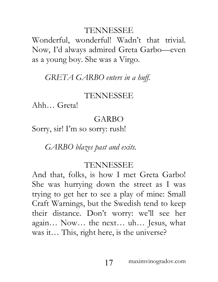Wonderful, wonderful! Wadn't that trivial. Now, I'd always admired Greta Garbo—even as a young boy. She was a Virgo.

*GRETA GARBO enters in a huff.*

#### TENNESSEE

Ahh… Greta!

# GARBO

Sorry, sir! I'm so sorry: rush!

*GARBO blazes past and exits.*

# TENNESSEE

And that, folks, is how I met Greta Garbo! She was hurrying down the street as I was trying to get her to see a play of mine: Small Craft Warnings, but the Swedish tend to keep their distance. Don't worry: we'll see her again… Now… the next… uh… Jesus, what was it… This, right here, is the universe?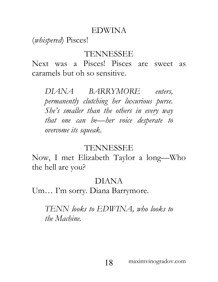#### EDWINA

(*whispered*) Pisces!

## TENNESSEE

Next was a Pisces! Pisces are sweet as caramels but oh so sensitive.

*DIANA BARRYMORE enters, permanently clutching her luxurious purse. She's smaller than the others in every way that one can be—her voice desperate to overcome its squeak.*

#### TENNESSEE

Now, I met Elizabeth Taylor a long—Who the hell are you?

# DIANA

Um… I'm sorry. Diana Barrymore.

*TENN looks to EDWINA, who looks to the Machine.*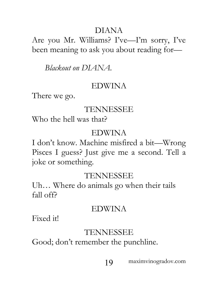# DIANA

Are you Mr. Williams? I've—I'm sorry, I've been meaning to ask you about reading for—

*Blackout on DIANA.*

#### EDWINA

There we go.

## TENNESSEE

Who the hell was that?

## EDWINA

I don't know. Machine misfired a bit—Wrong Pisces I guess? Just give me a second. Tell a joke or something.

# TENNESSEE

Uh… Where do animals go when their tails fall off?

## EDWINA

Fixed it!

# TENNESSEE

Good; don't remember the punchline.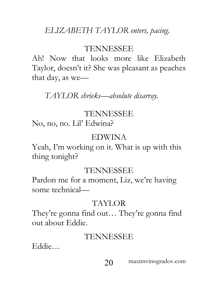# *ELIZABETH TAYLOR enters, pacing.*

## TENNESSEE

Ah! Now that looks more like Elizabeth Taylor, doesn't it? She was pleasant as peaches that day, as we—

*TAYLOR shrieks—absolute disarray.*

#### TENNESSEE

No, no, no. Lil' Edwina?

#### EDWINA

Yeah, I'm working on it. What is up with this thing tonight?

#### TENNESSEE

Pardon me for a moment, Liz, we're having some technical—

# TAYLOR

They're gonna find out… They're gonna find out about Eddie.

#### TENNESSEE

Eddie…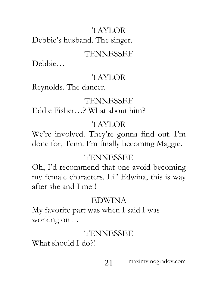# TAYLOR

Debbie's husband. The singer.

# TENNESSEE

Debbie…

# TAYLOR

Reynolds. The dancer.

# TENNESSEE

Eddie Fisher…? What about him?

# TAYLOR

We're involved. They're gonna find out. I'm done for, Tenn. I'm finally becoming Maggie.

# TENNESSEE

Oh, I'd recommend that one avoid becoming my female characters. Lil' Edwina, this is way after she and I met!

# EDWINA

My favorite part was when I said I was working on it.

# TENNESSEE

What should I do?!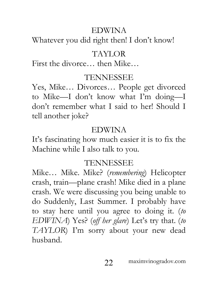# EDWINA

Whatever you did right then! I don't know!

# TAYLOR

First the divorce… then Mike…

# TENNESSEE

Yes, Mike… Divorces… People get divorced to Mike—I don't know what I'm doing—I don't remember what I said to her! Should I tell another joke?

# EDWINA

It's fascinating how much easier it is to fix the Machine while I also talk to you.

# TENNESSEE

Mike… Mike. Mike? (*remembering*) Helicopter crash, train—plane crash! Mike died in a plane crash. We were discussing you being unable to do Suddenly, Last Summer. I probably have to stay here until you agree to doing it. (*to EDWINA*) Yes? (*off her glare*) Let's try that. (*to TAYLOR*) I'm sorry about your new dead husband.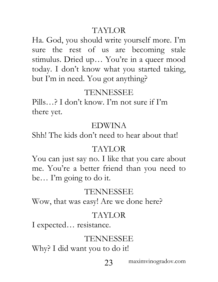# TAYLOR

Ha. God, you should write yourself more. I'm sure the rest of us are becoming stale stimulus. Dried up… You're in a queer mood today. I don't know what you started taking, but I'm in need. You got anything?

# TENNESSEE

Pills…? I don't know. I'm not sure if I'm there yet.

## EDWINA

Shh! The kids don't need to hear about that!

## TAYLOR

You can just say no. I like that you care about me. You're a better friend than you need to be… I'm going to do it.

# TENNESSEE

Wow, that was easy! Are we done here?

## TAYLOR

I expected… resistance.

# TENNESSEE

Why? I did want you to do it!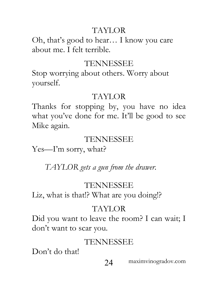# TAYLOR

Oh, that's good to hear… I know you care about me. I felt terrible.

## TENNESSEE

Stop worrying about others. Worry about yourself.

# TAYLOR

Thanks for stopping by, you have no idea what you've done for me. It'll be good to see Mike again.

# TENNESSEE

Yes—I'm sorry, what?

*TAYLOR gets a gun from the drawer.*

# TENNESSEE

Liz, what is that!? What are you doing!?

# TAYLOR

Did you want to leave the room? I can wait; I don't want to scar you.

# TENNESSEE

Don't do that!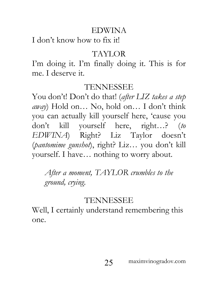# EDWINA

I don't know how to fix it!

# TAYLOR

I'm doing it. I'm finally doing it. This is for me. I deserve it.

# TENNESSEE

You don't! Don't do that! (*after LIZ takes a step away*) Hold on… No, hold on… I don't think you can actually kill yourself here, 'cause you don't kill yourself here, right…? (*to EDWINA*) Right? Liz Taylor doesn't (*pantomime gunshot*), right? Liz… you don't kill yourself. I have… nothing to worry about.

*After a moment, TAYLOR crumbles to the ground, crying.*

# TENNESSEE

Well, I certainly understand remembering this one.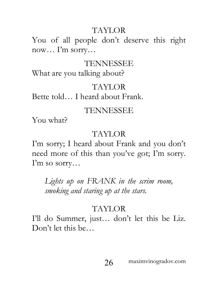# TAYLOR

You of all people don't deserve this right now… I'm sorry…

## TENNESSEE

What are you talking about?

## TAYLOR

Bette told… I heard about Frank.

# TENNESSEE

You what?

# TAYLOR

I'm sorry; I heard about Frank and you don't need more of this than you've got; I'm sorry. I'm so sorry…

*Lights up on FRANK in the scrim room, smoking and staring up at the stars.*

# TAYLOR

I'll do Summer, just… don't let this be Liz. Don't let this be…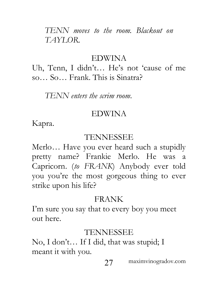*TENN moves to the room. Blackout on TAYLOR.*

#### EDWINA

Uh, Tenn, I didn't… He's not 'cause of me so… So… Frank. This is Sinatra?

*TENN enters the scrim room.*

#### EDWINA

Kapra.

#### TENNESSEE

Merlo… Have you ever heard such a stupidly pretty name? Frankie Merlo. He was a Capricorn. (*to FRANK*) Anybody ever told you you're the most gorgeous thing to ever strike upon his life?

# FRANK

I'm sure you say that to every boy you meet out here.

# TENNESSEE

No, I don't… If I did, that was stupid; I meant it with you.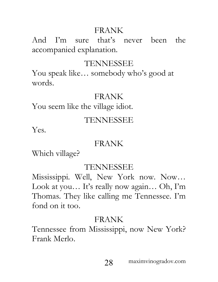## FRANK

And I'm sure that's never been the accompanied explanation.

# TENNESSEE

You speak like… somebody who's good at words.

# FRANK

You seem like the village idiot.

# TENNESSEE

Yes.

# FRANK

Which village?

# TENNESSEE

Mississippi. Well, New York now. Now… Look at you… It's really now again… Oh, I'm Thomas. They like calling me Tennessee. I'm fond on it too.

# FRANK

Tennessee from Mississippi, now New York? Frank Merlo.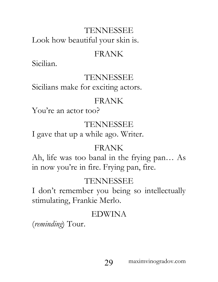Look how beautiful your skin is.

# FRANK

Sicilian.

# TENNESSEE

Sicilians make for exciting actors.

# FRANK

You're an actor too?

# TENNESSEE

I gave that up a while ago. Writer.

# FRANK

Ah, life was too banal in the frying pan… As in now you're in fire. Frying pan, fire.

# TENNESSEE

I don't remember you being so intellectually stimulating, Frankie Merlo.

# EDWINA

(*reminding*) Tour.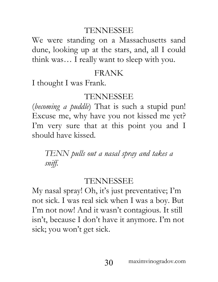We were standing on a Massachusetts sand dune, looking up at the stars, and, all I could think was… I really want to sleep with you.

# FRANK

I thought I was Frank.

# TENNESSEE

(*becoming a puddle*) That is such a stupid pun! Excuse me, why have you not kissed me yet? I'm very sure that at this point you and I should have kissed.

*TENN pulls out a nasal spray and takes a sniff.*

# TENNESSEE

My nasal spray! Oh, it's just preventative; I'm not sick. I was real sick when I was a boy. But I'm not now! And it wasn't contagious. It still isn't, because I don't have it anymore. I'm not sick; you won't get sick.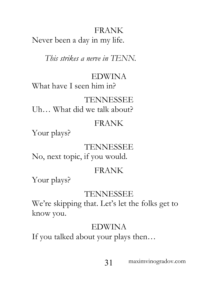FRANK Never been a day in my life.

*This strikes a nerve in TENN.*

## EDWINA

What have I seen him in?

# TENNESSEE

Uh… What did we talk about?

# FRANK

Your plays?

# TENNESSEE

No, next topic, if you would.

## FRANK

Your plays?

## TENNESSEE

We're skipping that. Let's let the folks get to know you.

# EDWINA

If you talked about your plays then…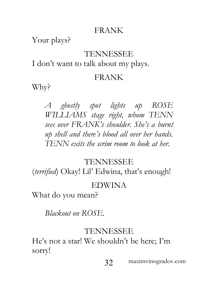# FRANK

Your plays?

## TENNESSEE

I don't want to talk about my plays.

#### FRANK

Why?

*A ghostly spot lights up ROSE WILLIAMS stage right, whom TENN sees over FRANK's shoulder. She's a burnt up shell and there's blood all over her hands. TENN exits the scrim room to look at her.*

# TENNESSEE

(*terrified*) Okay! Lil' Edwina, that's enough!

## EDWINA

What do you mean?

*Blackout on ROSE.*

# TENNESSEE

He's not a star! We shouldn't be here; I'm sorry!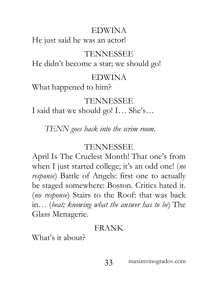# EDWINA

He just said he was an actor!

# TENNESSEE

He didn't become a star; we should go!

## EDWINA

What happened to him?

# TENNESSEE

I said that we should go! I… She's…

*TENN goes back into the scrim room.*

# TENNESSEE

April Is The Cruelest Month! That one's from when I just started college; it's an odd one! (*no response*) Battle of Angels: first one to actually be staged somewhere: Boston. Critics hated it. (*no response*) Stairs to the Roof: that was back in… (*beat; knowing what the answer has to be*) The Glass Menagerie.

# FRANK

What's it about?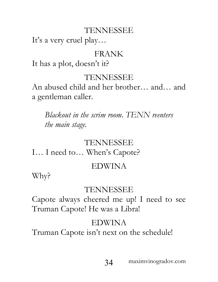It's a very cruel play…

# FRANK

It has a plot, doesn't it?

# TENNESSEE

An abused child and her brother… and… and a gentleman caller.

*Blackout in the scrim room. TENN reenters the main stage.*

# TENNESSEE

I… I need to… When's Capote?

# EDWINA

Why?

# TENNESSEE

Capote always cheered me up! I need to see Truman Capote! He was a Libra!

# EDWINA

Truman Capote isn't next on the schedule!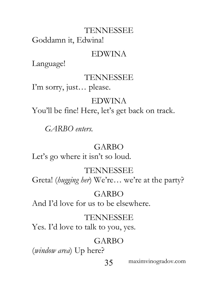Goddamn it, Edwina!

#### EDWINA

Language!

#### TENNESSEE

I'm sorry, just… please.

# EDWINA

You'll be fine! Here, let's get back on track.

*GARBO enters.*

# GARBO

Let's go where it isn't so loud.

# TENNESSEE

Greta! (*hugging her*) We're… we're at the party?

## GARBO

And I'd love for us to be elsewhere.

#### TENNESSEE

Yes. I'd love to talk to you, yes.

# GARBO

(*window area*) Up here?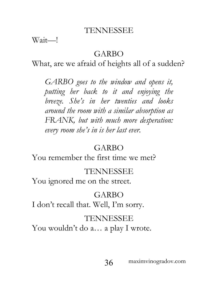Wait—!

#### GARBO

What, are we afraid of heights all of a sudden?

*GARBO goes to the window and opens it, putting her back to it and enjoying the breeze. She's in her twenties and looks around the room with a similar absorption as FRANK, but with much more desperation: every room she's in is her last ever.*

#### GARBO

You remember the first time we met?

#### TENNESSEE

You ignored me on the street.

## GARBO

I don't recall that. Well, I'm sorry.

#### TENNESSEE

You wouldn't do a... a play I wrote.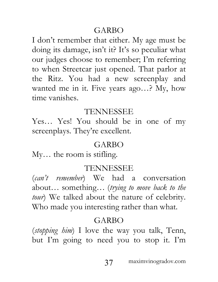## GARBO

I don't remember that either. My age must be doing its damage, isn't it? It's so peculiar what our judges choose to remember; I'm referring to when Streetcar just opened. That parlor at the Ritz. You had a new screenplay and wanted me in it. Five years ago…? My, how time vanishes.

#### TENNESSEE

Yes… Yes! You should be in one of my screenplays. They're excellent.

### GARBO

My… the room is stifling.

#### TENNESSEE

(*can't remember*) We had a conversation about… something… (*trying to move back to the tour*) We talked about the nature of celebrity. Who made you interesting rather than what.

#### GARBO

(*stopping him*) I love the way you talk, Tenn, but I'm going to need you to stop it. I'm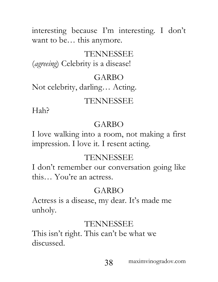interesting because I'm interesting. I don't want to be… this anymore.

# TENNESSEE

(*agreeing*) Celebrity is a disease!

# GARBO

Not celebrity, darling… Acting.

# TENNESSEE

Hah?

# GARBO

I love walking into a room, not making a first impression. I love it. I resent acting.

## TENNESSEE

I don't remember our conversation going like this… You're an actress.

# GARBO

Actress is a disease, my dear. It's made me unholy.

# TENNESSEE

This isn't right. This can't be what we discussed.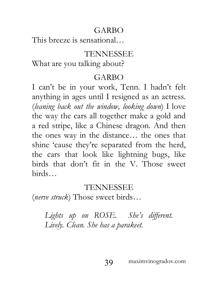## GARBO

This breeze is sensational…

### TENNESSEE

What are you talking about?

#### GARBO

I can't be in your work, Tenn. I hadn't felt anything in ages until I resigned as an actress. (*leaning back out the window, looking down*) I love the way the cars all together make a gold and a red stripe, like a Chinese dragon. And then the ones way in the distance… the ones that shine 'cause they're separated from the herd, the cars that look like lightning bugs, like birds that don't fit in the V. Those sweet birds…

#### TENNESSEE

(*nerve struck*) Those sweet birds…

Lights up on ROSE. She's different. *Lively. Clean. She has a parakeet.*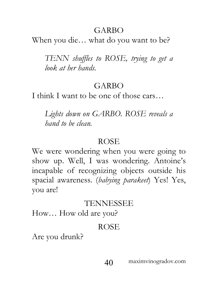## GARBO

When you die… what do you want to be?

*TENN shuffles to ROSE, trying to get a look at her hands.*

## GARBO

I think I want to be one of those cars...

*Lights down on GARBO. ROSE reveals a hand to be clean.*

#### ROSE

We were wondering when you were going to show up. Well, I was wondering. Antoine's incapable of recognizing objects outside his spacial awareness. (*babying parakeet*) Yes! Yes, you are!

## TENNESSEE

How… How old are you?

## ROSE

Are you drunk?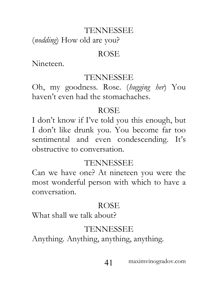(*nodding*) How old are you?

#### ROSE

Nineteen.

#### TENNESSEE

Oh, my goodness. Rose. (*hugging her*) You haven't even had the stomachaches.

## ROSE

I don't know if I've told you this enough, but I don't like drunk you. You become far too sentimental and even condescending. It's obstructive to conversation.

## TENNESSEE

Can we have one? At nineteen you were the most wonderful person with which to have a conversation.

## ROSE

What shall we talk about?

# TENNESSEE

Anything. Anything, anything, anything.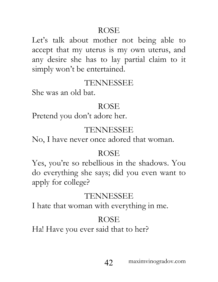Let's talk about mother not being able to accept that my uterus is my own uterus, and any desire she has to lay partial claim to it simply won't be entertained.

#### TENNESSEE

She was an old bat.

## ROSE

Pretend you don't adore her.

# TENNESSEE

No, I have never once adored that woman.

# ROSE

Yes, you're so rebellious in the shadows. You do everything she says; did you even want to apply for college?

# TENNESSEE

I hate that woman with everything in me.

# ROSE

Ha! Have you ever said that to her?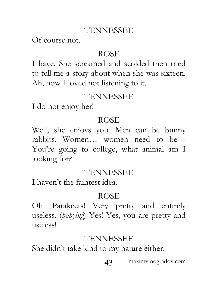Of course not.

#### ROSE

I have. She screamed and scolded then tried to tell me a story about when she was sixteen. Ah, how I loved not listening to it.

## TENNESSEE

I do not enjoy her!

### ROSE

Well, she enjoys you. Men can be bunny rabbits. Women… women need to be— You're going to college, what animal am I looking for?

#### TENNESSEE

I haven't the faintest idea.

## ROSE

Oh! Parakeets! Very pretty and entirely useless. (*babying*) Yes! Yes, you are pretty and useless!

## TENNESSEE

She didn't take kind to my nature either.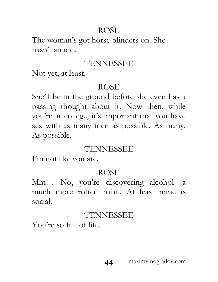The woman's got horse blinders on. She hasn't an idea.

## TENNESSEE

Not yet, at least.

# ROSE

She'll be in the ground before she even has a passing thought about it. Now then, while you're at college, it's important that you have sex with as many men as possible. As many. As possible.

# TENNESSEE

I'm not like you are.

# ROSE

Mm… No, you're discovering alcohol—a much more rotten habit. At least mine is social.

# TENNESSEE

You're so full of life.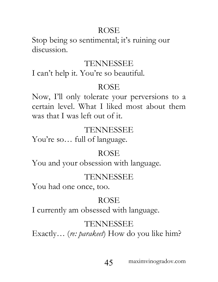Stop being so sentimental; it's ruining our discussion.

## TENNESSEE

I can't help it. You're so beautiful.

# ROSE

Now, I'll only tolerate your perversions to a certain level. What I liked most about them was that I was left out of it.

# TENNESSEE

You're so… full of language.

# ROSE

You and your obsession with language.

# TENNESSEE

You had one once, too.

# ROSE

I currently am obsessed with language.

# TENNESSEE

Exactly… (*re: parakeet*) How do you like him?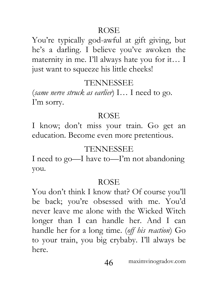You're typically god-awful at gift giving, but he's a darling. I believe you've awoken the maternity in me. I'll always hate you for it… I just want to squeeze his little cheeks!

## TENNESSEE

(*same nerve struck as earlier*) I… I need to go. I'm sorry.

## ROSE

I know; don't miss your train. Go get an education. Become even more pretentious.

## TENNESSEE

I need to go—I have to—I'm not abandoning you.

## ROSE

You don't think I know that? Of course you'll be back; you're obsessed with me. You'd never leave me alone with the Wicked Witch longer than I can handle her. And I can handle her for a long time. (*off his reaction*) Go to your train, you big crybaby. I'll always be here.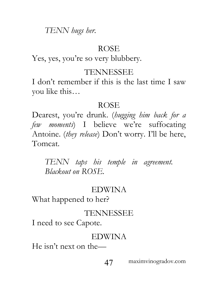*TENN hugs her.*

#### ROSE

Yes, yes, you're so very blubbery.

## TENNESSEE

I don't remember if this is the last time I saw you like this…

## ROSE

Dearest, you're drunk. (*hugging him back for a few moments*) I believe we're suffocating Antoine. (*they release*) Don't worry. I'll be here, Tomcat.

*TENN taps his temple in agreement. Blackout on ROSE.*

# EDWINA

What happened to her?

# TENNESSEE

I need to see Capote.

## EDWINA

He isn't next on the—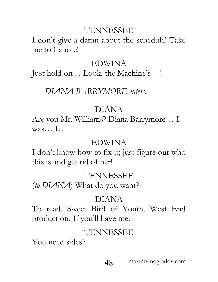I don't give a damn about the schedule! Take me to Capote!

#### EDWINA

Just hold on… Look, the Machine's—!

#### *DIANA BARRYMORE enters.*

#### DIANA

Are you Mr. Williams? Diana Barrymore… I  $\n$ was…  $\Gamma$ …

#### EDWINA

I don't know how to fix it; just figure out who this is and get rid of her!

#### TENNESSEE

(*to DIANA*) What do you want?

#### DIANA

To read. Sweet Bird of Youth. West End production. If you'll have me.

## TENNESSEE

You need sides?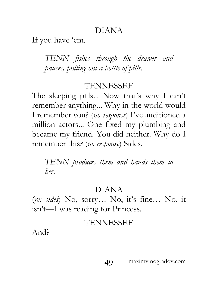### DIANA

If you have 'em.

*TENN fishes through the drawer and pauses, pulling out a bottle of pills.* 

#### TENNESSEE

The sleeping pills... Now that's why I can't remember anything... Why in the world would I remember you? (*no response*) I've auditioned a million actors... One fixed my plumbing and became my friend. You did neither. Why do I remember this? (*no response*) Sides.

*TENN produces them and hands them to her.* 

## DIANA

(*re: sides*) No, sorry… No, it's fine… No, it isn't—I was reading for Princess.

## TENNESSEE

And?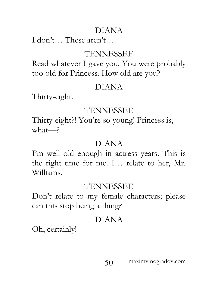# DIANA

I don't… These aren't…

## TENNESSEE

Read whatever I gave you. You were probably too old for Princess. How old are you?

## DIANA

Thirty-eight.

## TENNESSEE

Thirty-eight?! You're so young! Princess is, what—?

# DIANA

I'm well old enough in actress years. This is the right time for me. I… relate to her, Mr. Williams.

## TENNESSEE

Don't relate to my female characters; please can this stop being a thing?

# DIANA

Oh, certainly!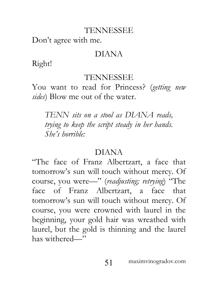Don't agree with me.

#### DIANA

Right!

#### TENNESSEE

You want to read for Princess? (*getting new sides*) Blow me out of the water.

*TENN sits on a stool as DIANA reads, trying to keep the script steady in her hands. She's horrible:* 

## DIANA

"The face of Franz Albertzart, a face that tomorrow's sun will touch without mercy. Of course, you were—" (*readjusting; retrying*) "The face of Franz Albertzart, a face that tomorrow's sun will touch without mercy. Of course, you were crowned with laurel in the beginning, your gold hair was wreathed with laurel, but the gold is thinning and the laurel has withered—"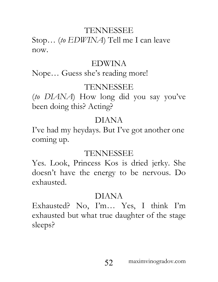Stop… (*to EDWINA*) Tell me I can leave now.

#### EDWINA

Nope… Guess she's reading more!

# TENNESSEE

(*to DIANA*) How long did you say you've been doing this? Acting?

# DIANA

I've had my heydays. But I've got another one coming up.

# TENNESSEE

Yes. Look, Princess Kos is dried jerky. She doesn't have the energy to be nervous. Do exhausted.

# DIANA

Exhausted? No, I'm… Yes, I think I'm exhausted but what true daughter of the stage sleeps?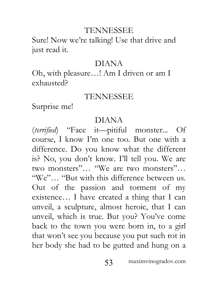Sure! Now we're talking! Use that drive and just read it.

#### DIANA

Oh, with pleasure…! Am I driven or am I exhausted?

## TENNESSEE

Surprise me!

### DIANA

(*terrified*) "Face it—pitiful monster... Of course, I know I'm one too. But one with a difference. Do you know what the different is? No, you don't know. I'll tell you. We are two monsters"… "We are two monsters"… "We"… "But with this difference between us. Out of the passion and torment of my existence… I have created a thing that I can unveil, a sculpture, almost heroic, that I can unveil, which is true. But you? You've come back to the town you were born in, to a girl that won't see you because you put such rot in her body she had to be gutted and hung on a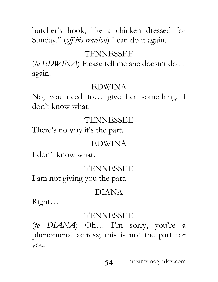butcher's hook, like a chicken dressed for Sunday." (*off his reaction*) I can do it again.

## TENNESSEE

(*to EDWINA*) Please tell me she doesn't do it again.

#### EDWINA

No, you need to… give her something. I don't know what.

# TENNESSEE

There's no way it's the part.

### EDWINA

I don't know what.

## TENNESSEE

I am not giving you the part.

## DIANA

Right…

## TENNESSEE

(*to DIANA*) Oh… I'm sorry, you're a phenomenal actress; this is not the part for you.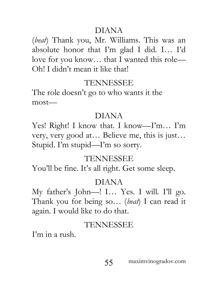### DIANA

(*beat*) Thank you, Mr. Williams. This was an absolute honor that I'm glad I did. I… I'd love for you know… that I wanted this role— Oh! I didn't mean it like that!

## TENNESSEE

The role doesn't go to who wants it the most—

## DIANA

Yes! Right! I know that. I know—I'm… I'm very, very good at… Believe me, this is just… Stupid. I'm stupid—I'm so sorry.

## TENNESSEE

You'll be fine. It's all right. Get some sleep.

## DIANA

My father's John—! I… Yes. I will. I'll go. Thank you for being so… (*beat*) I can read it again. I would like to do that.

## TENNESSEE

I'm in a rush.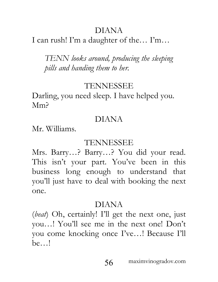# DIANA

I can rush! I'm a daughter of the… I'm…

*TENN looks around, producing the sleeping pills and handing them to her.* 

## TENNESSEE

Darling, you need sleep. I have helped you. Mm?

## DIANA

Mr. Williams.

## TENNESSEE

Mrs. Barry…? Barry…? You did your read. This isn't your part. You've been in this business long enough to understand that you'll just have to deal with booking the next one.

## DIANA

(*beat*) Oh, certainly! I'll get the next one, just you…! You'll see me in the next one! Don't you come knocking once I've…! Because I'll be…!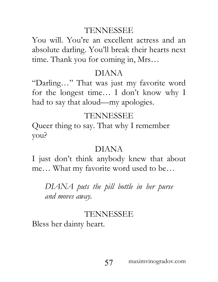You will. You're an excellent actress and an absolute darling. You'll break their hearts next time. Thank you for coming in, Mrs…

#### DIANA

"Darling…" That was just my favorite word for the longest time… I don't know why I had to say that aloud—my apologies.

#### TENNESSEE

Queer thing to say. That why I remember you?

#### DIANA

I just don't think anybody knew that about me… What my favorite word used to be…

*DIANA puts the pill bottle in her purse and moves away.* 

## TENNESSEE

Bless her dainty heart.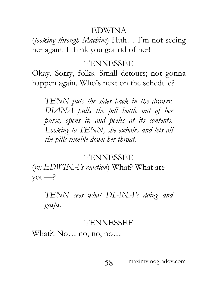#### EDWINA

(*looking through Machine*) Huh… I'm not seeing her again. I think you got rid of her!

#### TENNESSEE

Okay. Sorry, folks. Small detours; not gonna happen again. Who's next on the schedule?

*TENN puts the sides back in the drawer. DIANA pulls the pill bottle out of her purse, opens it, and peeks at its contents. Looking to TENN, she exhales and lets all the pills tumble down her throat.* 

#### TENNESSEE

(*re: EDWINA's reaction*) What? What are you—?

*TENN sees what DIANA's doing and gasps.*

#### TENNESSEE

What?! No… no, no, no…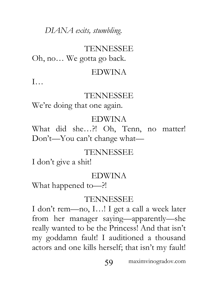## *DIANA exits, stumbling.*

# TENNESSEE

Oh, no… We gotta go back.

#### EDWINA

I…

#### TENNESSEE

We're doing that one again.

### EDWINA

What did she…?! Oh, Tenn, no matter! Don't—You can't change what—

## TENNESSEE

I don't give a shit!

## EDWINA

What happened to—?!

## TENNESSEE

I don't rem—no, I…! I get a call a week later from her manager saying—apparently—she really wanted to be the Princess! And that isn't my goddamn fault! I auditioned a thousand actors and one kills herself; that isn't my fault!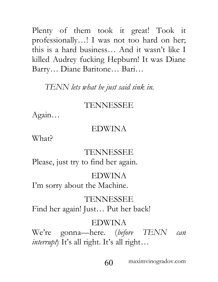Plenty of them took it great! Took it professionally…! I was not too hard on her; this is a hard business… And it wasn't like I killed Audrey fucking Hepburn! It was Diane Barry… Diane Baritone… Bari…

#### *TENN lets what he just said sink in.*

#### TENNESSEE

Again…

#### EDWINA

What?

#### TENNESSEE

Please, just try to find her again.

#### EDWINA

I'm sorry about the Machine.

#### TENNESSEE

Find her again! Just… Put her back!

#### EDWINA

We're gonna—here. (*before TENN can interrupt*) It's all right. It's all right…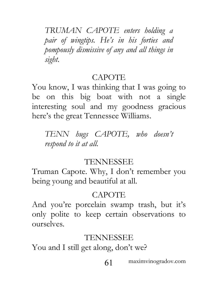*TRUMAN CAPOTE enters holding a pair of wingtips. He's in his forties and pompously dismissive of any and all things in sight.*

#### CAPOTE

You know, I was thinking that I was going to be on this big boat with not a single interesting soul and my goodness gracious here's the great Tennessee Williams.

*TENN hugs CAPOTE, who doesn't respond to it at all.*

#### TENNESSEE

Truman Capote. Why, I don't remember you being young and beautiful at all.

# CAPOTE

And you're porcelain swamp trash, but it's only polite to keep certain observations to ourselves.

# TENNESSEE

You and I still get along, don't we?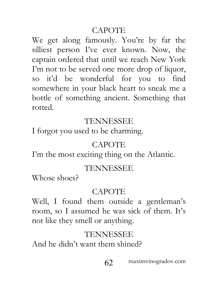## CAPOTE

We get along famously. You're by far the silliest person I've ever known. Now, the captain ordered that until we reach New York I'm not to be served one more drop of liquor, so it'd be wonderful for you to find somewhere in your black heart to sneak me a bottle of something ancient. Something that rotted.

### TENNESSEE

I forgot you used to be charming.

#### **CAPOTE**

I'm the most exciting thing on the Atlantic.

#### TENNESSEE

Whose shoes?

## **CAPOTE**

Well, I found them outside a gentleman's room, so I assumed he was sick of them. It's not like they smell or anything.

## TENNESSEE

And he didn't want them shined?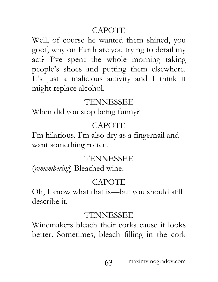# CAPOTE

Well, of course he wanted them shined, you goof, why on Earth are you trying to derail my act? I've spent the whole morning taking people's shoes and putting them elsewhere. It's just a malicious activity and I think it might replace alcohol.

## TENNESSEE

When did you stop being funny?

# **CAPOTE**

I'm hilarious. I'm also dry as a fingernail and want something rotten.

## TENNESSEE

(*remembering*) Bleached wine.

## CAPOTE

Oh, I know what that is—but you should still describe it.

# TENNESSEE

Winemakers bleach their corks cause it looks better. Sometimes, bleach filling in the cork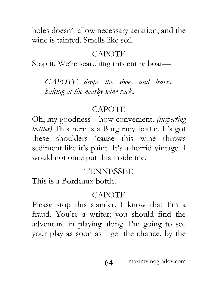holes doesn't allow necessary aeration, and the wine is tainted. Smells like soil.

# CAPOTE

Stop it. We're searching this entire boat—

*CAPOTE drops the shoes and leaves, halting at the nearby wine rack.*

# CAPOTE

Oh, my goodness—how convenient. *(inspecting bottles)* This here is a Burgundy bottle. It's got these shoulders 'cause this wine throws sediment like it's paint. It's a horrid vintage. I would not once put this inside me.

# TENNESSEE

This is a Bordeaux bottle.

# CAPOTE

Please stop this slander. I know that I'm a fraud. You're a writer; you should find the adventure in playing along. I'm going to see your play as soon as I get the chance, by the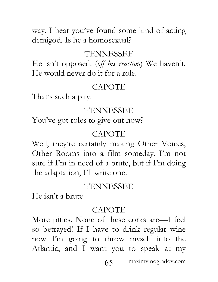way. I hear you've found some kind of acting demigod. Is he a homosexual?

#### TENNESSEE

He isn't opposed. (*off his reaction*) We haven't. He would never do it for a role.

#### **CAPOTE**

That's such a pity.

#### TENNESSEE

You've got roles to give out now?

#### CAPOTE

Well, they're certainly making Other Voices, Other Rooms into a film someday. I'm not sure if I'm in need of a brute, but if I'm doing the adaptation, I'll write one.

#### TENNESSEE

He isn't a brute.

#### **CAPOTE**

More pities. None of these corks are—I feel so betrayed! If I have to drink regular wine now I'm going to throw myself into the Atlantic, and I want you to speak at my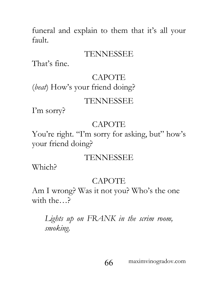funeral and explain to them that it's all your fault.

#### TENNESSEE

That's fine.

#### CAPOTE

(*beat*) How's your friend doing?

#### TENNESSEE

I'm sorry?

#### CAPOTE

You're right. "I'm sorry for asking, but" how's your friend doing?

#### TENNESSEE

Which?

#### CAPOTE

Am I wrong? Was it not you? Who's the one with the…?

# *Lights up on FRANK in the scrim room, smoking.*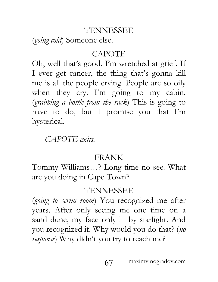(*going cold*) Someone else.

## CAPOTE

Oh, well that's good. I'm wretched at grief. If I ever get cancer, the thing that's gonna kill me is all the people crying. People are so oily when they cry. I'm going to my cabin. (*grabbing a bottle from the rack*) This is going to have to do, but I promise you that I'm hysterical.

*CAPOTE exits.*

## FRANK

Tommy Williams…? Long time no see. What are you doing in Cape Town?

# TENNESSEE

(*going to scrim room*) You recognized me after years. After only seeing me one time on a sand dune, my face only lit by starlight. And you recognized it. Why would you do that? (*no response*) Why didn't you try to reach me?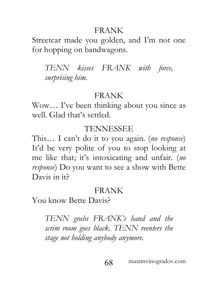#### FRANK

Streetcar made you golden, and I'm not one for hopping on bandwagons.

*TENN kisses FRANK with force, surprising him.*

### FRANK

Wow… I've been thinking about you since as well. Glad that's settled.

### TENNESSEE

This… I can't do it to you again. (*no response*) It'd be very polite of you to stop looking at me like that; it's intoxicating and unfair. (*no response*) Do you want to see a show with Bette Davis in it?

# FRANK

You know Bette Davis?

*TENN grabs FRANK's hand and the scrim room goes black. TENN reenters the stage not holding anybody anymore.*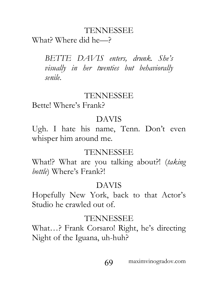What? Where did he—?

*BETTE DAVIS enters, drunk. She's visually in her twenties but behaviorally senile.*

#### TENNESSEE

Bette! Where's Frank?

#### DAVIS

Ugh. I hate his name, Tenn. Don't even whisper him around me.

#### TENNESSEE

What!? What are you talking about?! (*taking bottle*) Where's Frank?!

#### DAVIS

Hopefully New York, back to that Actor's Studio he crawled out of.

#### TENNESSEE

What…? Frank Corsaro! Right, he's directing Night of the Iguana, uh-huh?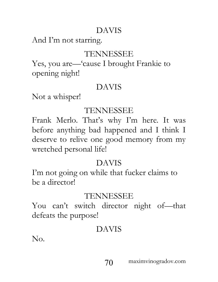# DAVIS

And I'm not starring.

# TENNESSEE

Yes, you are—'cause I brought Frankie to opening night!

## DAVIS

Not a whisper!

# TENNESSEE

Frank Merlo. That's why I'm here. It was before anything bad happened and I think I deserve to relive one good memory from my wretched personal life!

# DAVIS

I'm not going on while that fucker claims to be a director!

# TENNESSEE

You can't switch director night of—that defeats the purpose!

# DAVIS

No.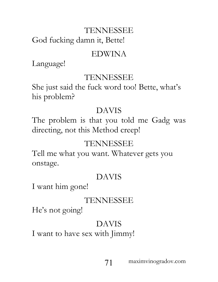God fucking damn it, Bette!

# EDWINA

Language!

# TENNESSEE

She just said the fuck word too! Bette, what's his problem?

# DAVIS

The problem is that you told me Gadg was directing, not this Method creep!

# TENNESSEE

Tell me what you want. Whatever gets you onstage.

# DAVIS

I want him gone!

# TENNESSEE

He's not going!

# DAVIS

I want to have sex with Jimmy!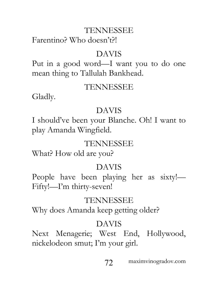Farentino? Who doesn't?!

### DAVIS

Put in a good word—I want you to do one mean thing to Tallulah Bankhead.

### TENNESSEE

Gladly.

### DAVIS

I should've been your Blanche. Oh! I want to play Amanda Wingfield.

# TENNESSEE

What? How old are you?

## DAVIS

People have been playing her as sixty!— Fifty!—I'm thirty-seven!

## TENNESSEE

Why does Amanda keep getting older?

# DAVIS

Next Menagerie; West End, Hollywood, nickelodeon smut; I'm your girl.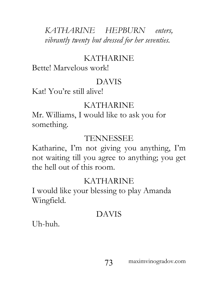# *KATHARINE HEPBURN enters, vibrantly twenty but dressed for her seventies.*

# KATHARINE

Bette! Marvelous work!

# DAVIS

Kat! You're still alive!

# KATHARINE

Mr. Williams, I would like to ask you for something.

# TENNESSEE

Katharine, I'm not giving you anything, I'm not waiting till you agree to anything; you get the hell out of this room.

# KATHARINE

I would like your blessing to play Amanda Wingfield.

# DAVIS

Uh-huh.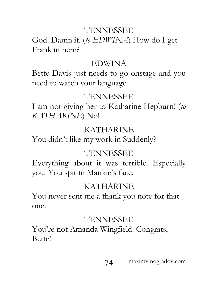God. Damn it. (*to EDWINA*) How do I get Frank in here?

#### EDWINA

Bette Davis just needs to go onstage and you need to watch your language.

### TENNESSEE

I am not giving her to Katharine Hepburn! (*to KATHARINE*) No!

### KATHARINE

You didn't like my work in Suddenly?

### TENNESSEE

Everything about it was terrible. Especially you. You spit in Mankie's face.

## KATHARINE

You never sent me a thank you note for that one.

### TENNESSEE

You're not Amanda Wingfield. Congrats, Bette!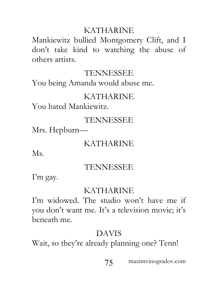## KATHARINE

Mankiewitz bullied Montgomery Clift, and I don't take kind to watching the abuse of others artists.

## TENNESSEE

You being Amanda would abuse me.

# KATHARINE

You hated Mankiewitz.

## TENNESSEE

Mrs. Hepburn—

# KATHARINE

Ms.

# TENNESSEE

I'm gay.

# KATHARINE

I'm widowed. The studio won't have me if you don't want me. It's a television movie; it's beneath me.

# DAVIS

Wait, so they're already planning one? Tenn!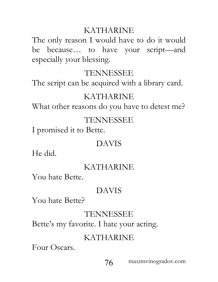## KATHARINE

The only reason I would have to do it would be because… to have your script—and especially your blessing.

## TENNESSEE

The script can be acquired with a library card.

## KATHARINE

What other reasons do you have to detest me?

## TENNESSEE

I promised it to Bette.

### DAVIS

He did.

# KATHARINE

You hate Bette.

## DAVIS

You hate Bette?

# TENNESSEE

Bette's my favorite. I hate your acting.

# KATHARINE

Four Oscars.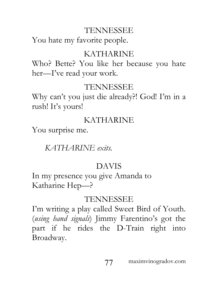You hate my favorite people.

## KATHARINE

Who? Bette? You like her because you hate her—I've read your work.

# TENNESSEE

Why can't you just die already?! God! I'm in a rush! It's yours!

# KATHARINE

You surprise me.

*KATHARINE exits.*

# DAVIS

In my presence you give Amanda to Katharine Hep—?

# TENNESSEE

I'm writing a play called Sweet Bird of Youth. (*using hand signals*) Jimmy Farentino's got the part if he rides the D-Train right into Broadway.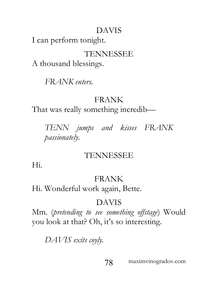# DAVIS

I can perform tonight.

# TENNESSEE

A thousand blessings.

*FRANK enters.*

# FRANK

That was really something incredib—

*TENN jumps and kisses FRANK passionately.* 

# TENNESSEE

Hi.

# FRANK

Hi. Wonderful work again, Bette.

# DAVIS

Mm. (*pretending to see something offstage*) Would you look at that? Oh, it's so interesting.

*DAVIS exits coyly.*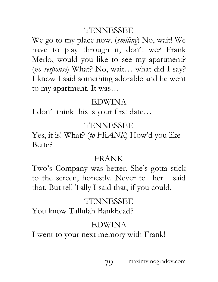We go to my place now. (*smiling*) No, wait! We have to play through it, don't we? Frank Merlo, would you like to see my apartment? (*no response*) What? No, wait… what did I say? I know I said something adorable and he went to my apartment. It was…

### EDWINA

I don't think this is your first date…

## TENNESSEE

Yes, it is! What? (*to FRANK*) How'd you like Bette?

## FRANK

Two's Company was better. She's gotta stick to the screen, honestly. Never tell her I said that. But tell Tally I said that, if you could.

# TENNESSEE

You know Tallulah Bankhead?

# EDWINA

I went to your next memory with Frank!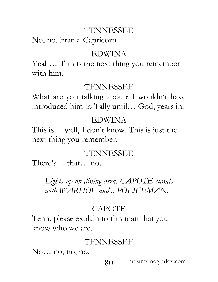No, no. Frank. Capricorn.

#### EDWINA

Yeah… This is the next thing you remember with him.

#### TENNESSEE

What are you talking about? I wouldn't have introduced him to Tally until… God, years in.

### EDWINA

This is… well, I don't know. This is just the next thing you remember.

### TENNESSEE

There's… that… no.

*Lights up on dining area. CAPOTE stands with WARHOL and a POLICEMAN.*

## CAPOTE

Tenn, please explain to this man that you know who we are.

#### TENNESSEE

No… no, no, no.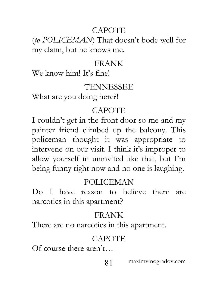## CAPOTE

(*to POLICEMAN*) That doesn't bode well for my claim, but he knows me.

### FRANK

We know him! It's fine!

### TENNESSEE

What are you doing here?!

## **CAPOTE**

I couldn't get in the front door so me and my painter friend climbed up the balcony. This policeman thought it was appropriate to intervene on our visit. I think it's improper to allow yourself in uninvited like that, but I'm being funny right now and no one is laughing.

## POLICEMAN

Do I have reason to believe there are narcotics in this apartment?

# FRANK

There are no narcotics in this apartment.

# **CAPOTE**

Of course there aren't…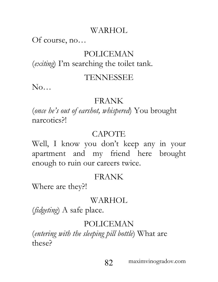### WARHOL

### Of course, no…

# POLICEMAN

(*exiting*) I'm searching the toilet tank.

### TENNESSEE

No…

### FRANK

(*once he's out of earshot, whispered*) You brought narcotics?!

# CAPOTE

Well, I know you don't keep any in your apartment and my friend here brought enough to ruin our careers twice.

## FRANK

Where are they?!

## WARHOL

(*fidgeting*) A safe place.

## POLICEMAN

(*entering with the sleeping pill bottle*) What are these?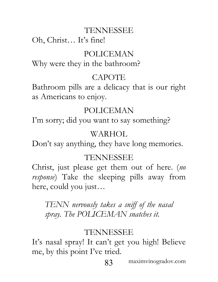Oh, Christ… It's fine!

## POLICEMAN

Why were they in the bathroom?

# **CAPOTE**

Bathroom pills are a delicacy that is our right as Americans to enjoy.

## POLICEMAN

I'm sorry; did you want to say something?

## WARHOL

Don't say anything, they have long memories.

## TENNESSEE

Christ, just please get them out of here. (*no response*) Take the sleeping pills away from here, could you just…

*TENN nervously takes a sniff of the nasal spray. The POLICEMAN snatches it.*

# TENNESSEE

It's nasal spray! It can't get you high! Believe me, by this point I've tried.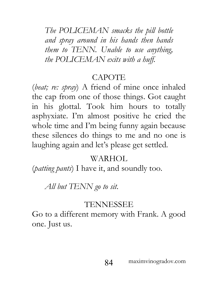*The POLICEMAN smacks the pill bottle and spray around in his hands then hands them to TENN. Unable to use anything, the POLICEMAN exits with a huff.*

#### CAPOTE

(*beat; re: spray*) A friend of mine once inhaled the cap from one of those things. Got caught in his glottal. Took him hours to totally asphyxiate. I'm almost positive he cried the whole time and I'm being funny again because these silences do things to me and no one is laughing again and let's please get settled.

### WARHOL

(*patting pants*) I have it, and soundly too.

*All but TENN go to sit.*

### TENNESSEE

Go to a different memory with Frank. A good one. Just us.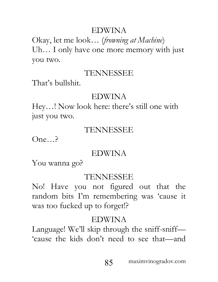## EDWINA

Okay, let me look… (*frowning at Machine*) Uh… I only have one more memory with just you two.

### TENNESSEE

That's bullshit.

### EDWINA

Hey…! Now look here: there's still one with just you two.

### TENNESSEE

One…?

### EDWINA

You wanna go?

### TENNESSEE

No! Have you not figured out that the random bits I'm remembering was 'cause it was too fucked up to forget!?

### EDWINA

Language! We'll skip through the sniff-sniff— 'cause the kids don't need to see that—and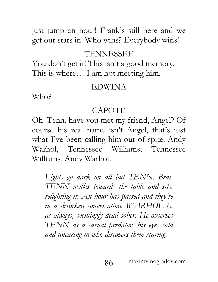just jump an hour! Frank's still here and we get our stars in! Who wins? Everybody wins!

#### TENNESSEE

You don't get it! This isn't a good memory. This is where… I am not meeting him.

#### EDWINA

Who?

#### CAPOTE

Oh! Tenn, have you met my friend, Angel? Of course his real name isn't Angel, that's just what I've been calling him out of spite. Andy Warhol, Tennessee Williams; Tennessee Williams, Andy Warhol.

*Lights go dark on all but TENN. Beat. TENN walks towards the table and sits, relighting it. An hour has passed and they're in a drunken conversation. WARHOL is, as always, seemingly dead sober. He observes TENN as a casual predator, his eyes cold and uncaring in who discovers them staring.*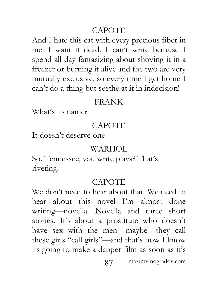## CAPOTE

And I hate this cat with every precious fiber in me! I want it dead. I can't write because I spend all day fantasizing about shoving it in a freezer or burning it alive and the two are very mutually exclusive, so every time I get home I can't do a thing but seethe at it in indecision!

### FRANK

What's its name?

# **CAPOTE**

It doesn't deserve one.

# WARHOL

So. Tennessee, you write plays? That's riveting.

## **CAPOTE**

We don't need to hear about that. We need to hear about this novel I'm almost done writing—novella. Novella and three short stories. It's about a prostitute who doesn't have sex with the men—maybe—they call these girls "call girls"—and that's how I know its going to make a dapper film as soon as it's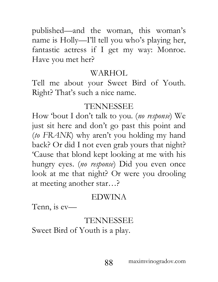published—and the woman, this woman's name is Holly—I'll tell you who's playing her, fantastic actress if I get my way: Monroe. Have you met her?

## WARHOL

Tell me about your Sweet Bird of Youth. Right? That's such a nice name.

# TENNESSEE

How 'bout I don't talk to you. (*no response*) We just sit here and don't go past this point and (*to FRANK*) why aren't you holding my hand back? Or did I not even grab yours that night? 'Cause that blond kept looking at me with his hungry eyes. (*no response*) Did you even once look at me that night? Or were you drooling at meeting another star…?

# EDWINA

Tenn, is ev—

# TENNESSEE

Sweet Bird of Youth is a play.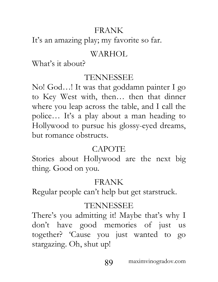## FRANK

It's an amazing play; my favorite so far.

# WARHOL

What's it about?

## TENNESSEE

No! God…! It was that goddamn painter I go to Key West with, then… then that dinner where you leap across the table, and I call the police… It's a play about a man heading to Hollywood to pursue his glossy-eyed dreams, but romance obstructs.

# CAPOTE

Stories about Hollywood are the next big thing. Good on you.

# FRANK

Regular people can't help but get starstruck.

# TENNESSEE

There's you admitting it! Maybe that's why I don't have good memories of just us together? 'Cause you just wanted to go stargazing. Oh, shut up!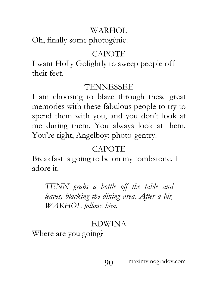# WARHOL

Oh, finally some photogénie.

# CAPOTE

I want Holly Golightly to sweep people off their feet.

# TENNESSEE

I am choosing to blaze through these great memories with these fabulous people to try to spend them with you, and you don't look at me during them. You always look at them. You're right, Angelboy: photo-gentry.

# **CAPOTE**

Breakfast is going to be on my tombstone. I adore it.

*TENN grabs a bottle off the table and leaves, blacking the dining area. After a bit, WARHOL follows him.*

# EDWINA

Where are you going?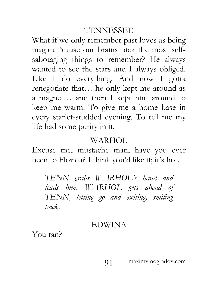What if we only remember past loves as being magical 'cause our brains pick the most selfsabotaging things to remember? He always wanted to see the stars and I always obliged. Like I do everything. And now I gotta renegotiate that… he only kept me around as a magnet… and then I kept him around to keep me warm. To give me a home base in every starlet-studded evening. To tell me my life had some purity in it.

#### WARHOL

Excuse me, mustache man, have you ever been to Florida? I think you'd like it; it's hot.

*TENN grabs WARHOL's hand and leads him. WARHOL gets ahead of TENN, letting go and exiting, smiling back.*

#### EDWINA

You ran?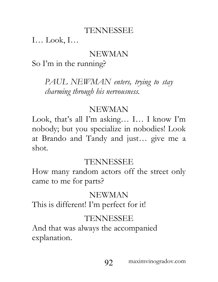I… Look, I…

### NEWMAN

So I'm in the running?

*PAUL NEWMAN enters, trying to stay charming through his nervousness.*

### NEWMAN

Look, that's all I'm asking… I… I know I'm nobody; but you specialize in nobodies! Look at Brando and Tandy and just… give me a shot.

## TENNESSEE

How many random actors off the street only came to me for parts?

## NEWMAN

This is different! I'm perfect for it!

## TENNESSEE

And that was always the accompanied explanation.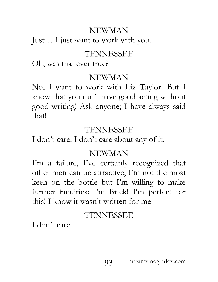# NEWMAN

Just… I just want to work with you.

## TENNESSEE

Oh, was that ever true?

## NEWMAN

No, I want to work with Liz Taylor. But I know that you can't have good acting without good writing! Ask anyone; I have always said that!

## TENNESSEE

I don't care. I don't care about any of it.

# NEWMAN

I'm a failure, I've certainly recognized that other men can be attractive, I'm not the most keen on the bottle but I'm willing to make further inquiries; I'm Brick! I'm perfect for this! I know it wasn't written for me—

# TENNESSEE

I don't care!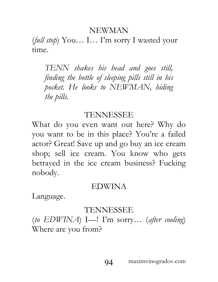#### NEWMAN

(*full stop*) You… I… I'm sorry I wasted your time.

*TENN shakes his head and goes still, finding the bottle of sleeping pills still in his pocket. He looks to NEWMAN, hiding the pills.*

#### TENNESSEE

What do you even want out here? Why do you want to be in this place? You're a failed actor? Great! Save up and go buy an ice cream shop; sell ice cream. You know who gets betrayed in the ice cream business? Fucking nobody.

#### EDWINA

Language.

### TENNESSEE

(*to EDWINA*) I—! I'm sorry… (*after cooling*) Where are you from?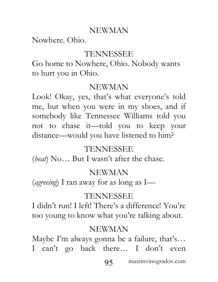### NEWMAN

Nowhere. Ohio.

#### TENNESSEE

Go home to Nowhere, Ohio. Nobody wants to hurt you in Ohio.

#### NEWMAN

Look! Okay, yes, that's what everyone's told me, but when you were in my shoes, and if somebody like Tennessee Williams told you not to chase it—told you to keep your distance—would you have listened to him?

### TENNESSEE

(*beat*) No… But I wasn't after the chase.

### NEWMAN

(*agreeing*) I ran away for as long as I—

## TENNESSEE

I didn't run! I left! There's a difference! You're too young to know what you're talking about.

### NEWMAN

Maybe I'm always gonna be a failure, that's… I can't go back there… I don't even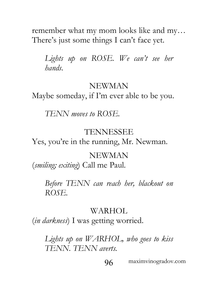remember what my mom looks like and my… There's just some things I can't face yet.

Lights up on ROSE. We can't see her *hands.*

#### NEWMAN

Maybe someday, if I'm ever able to be you.

*TENN moves to ROSE.*

#### TENNESSEE

Yes, you're in the running, Mr. Newman.

#### NEWMAN

(*smiling; exiting*) Call me Paul.

*Before TENN can reach her, blackout on ROSE.*

#### WARHOL

(*in darkness*) I was getting worried.

*Lights up on WARHOL, who goes to kiss TENN. TENN averts.*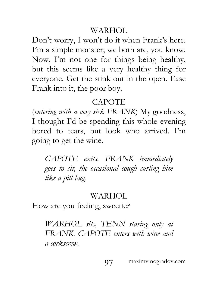### WARHOL

Don't worry, I won't do it when Frank's here. I'm a simple monster; we both are, you know. Now, I'm not one for things being healthy, but this seems like a very healthy thing for everyone. Get the stink out in the open. Ease Frank into it, the poor boy.

### CAPOTE

(*entering with a very sick FRANK*) My goodness, I thought I'd be spending this whole evening bored to tears, but look who arrived. I'm going to get the wine.

*CAPOTE exits. FRANK immediately goes to sit, the occasional cough curling him like a pill bug.*

### WARHOL

How are you feeling, sweetie?

*WARHOL sits, TENN staring only at FRANK. CAPOTE enters with wine and a corkscrew.*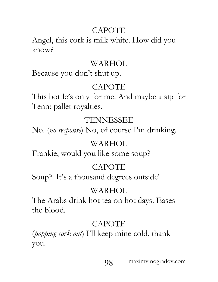# CAPOTE

Angel, this cork is milk white. How did you know?

## WARHOL

Because you don't shut up.

# CAPOTE

This bottle's only for me. And maybe a sip for Tenn: pallet royalties.

# TENNESSEE

No. (*no response*) No, of course I'm drinking.

# WARHOL

Frankie, would you like some soup?

# **CAPOTE**

Soup?! It's a thousand degrees outside!

# WARHOL

The Arabs drink hot tea on hot days. Eases the blood.

# **CAPOTE**

(*popping cork out*) I'll keep mine cold, thank you.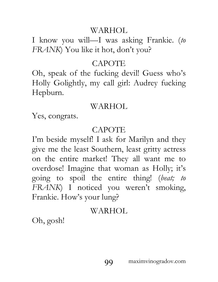### WARHOL

I know you will—I was asking Frankie. (*to FRANK*) You like it hot, don't you?

### CAPOTE

Oh, speak of the fucking devil! Guess who's Holly Golightly, my call girl: Audrey fucking Hepburn.

## WARHOL

Yes, congrats.

## CAPOTE

I'm beside myself! I ask for Marilyn and they give me the least Southern, least gritty actress on the entire market! They all want me to overdose! Imagine that woman as Holly; it's going to spoil the entire thing! (*beat; to FRANK*) I noticed you weren't smoking, Frankie. How's your lung?

# WARHOL

Oh, gosh!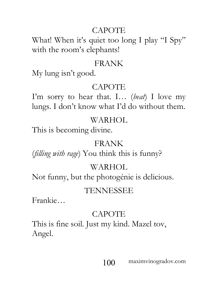## CAPOTE

What! When it's quiet too long I play "I Spy" with the room's elephants!

#### FRANK

My lung isn't good.

## CAPOTE

I'm sorry to hear that. I… (*beat*) I love my lungs. I don't know what I'd do without them.

## WARHOL

This is becoming divine.

### FRANK

(*filling with rage*) You think this is funny?

# WARHOL

Not funny, but the photogénie is delicious.

# TENNESSEE

Frankie…

# CAPOTE

This is fine soil. Just my kind. Mazel tov, Angel.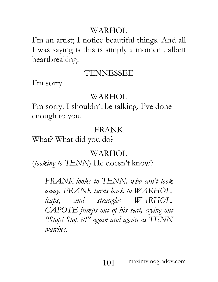## WARHOL

I'm an artist; I notice beautiful things. And all I was saying is this is simply a moment, albeit heartbreaking.

### TENNESSEE

I'm sorry.

### WARHOL

I'm sorry. I shouldn't be talking. I've done enough to you.

## FRANK

What? What did you do?

## WARHOL

(*looking to TENN*) He doesn't know?

*FRANK looks to TENN, who can't look away. FRANK turns back to WARHOL, leaps, and strangles WARHOL. CAPOTE jumps out of his seat, crying out "Stop! Stop it!" again and again as TENN watches.*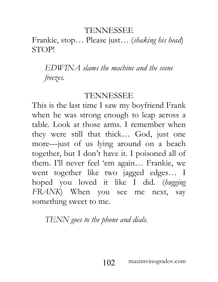Frankie, stop… Please just… (*shaking his head*) STOP!

# *EDWINA slams the machine and the scene freezes.*

#### TENNESSEE

This is the last time I saw my boyfriend Frank when he was strong enough to leap across a table. Look at those arms. I remember when they were still that thick… God, just one more—just of us lying around on a beach together, but I don't have it. I poisoned all of them. I'll never feel 'em again… Frankie, we went together like two jagged edges… I hoped you loved it like I did. (*hugging FRANK*) When you see me next, say something sweet to me.

### *TENN goes to the phone and dials.*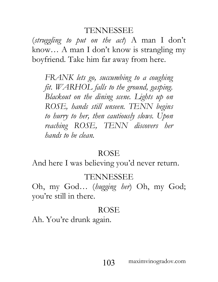(*struggling to put on the act*) A man I don't know… A man I don't know is strangling my boyfriend. Take him far away from here.

*FRANK lets go, succumbing to a coughing fit. WARHOL falls to the ground, gasping. Blackout on the dining scene. Lights up on ROSE, hands still unseen. TENN begins to hurry to her, then cautiously slows. Upon reaching ROSE, TENN discovers her hands to be clean.*

#### **ROSE**

And here I was believing you'd never return.

#### TENNESSEE

Oh, my God… (*hugging her*) Oh, my God; you're still in there.

### ROSE

Ah. You're drunk again.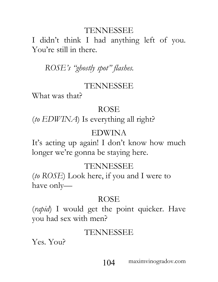I didn't think I had anything left of you. You're still in there.

*ROSE's "ghostly spot" flashes.*

### TENNESSEE

What was that?

#### ROSE

(*to EDWINA*) Is everything all right?

## EDWINA

It's acting up again! I don't know how much longer we're gonna be staying here.

## TENNESSEE

(*to ROSE*) Look here, if you and I were to have only—

# ROSE

(*rapid*) I would get the point quicker. Have you had sex with men?

## TENNESSEE

Yes. You?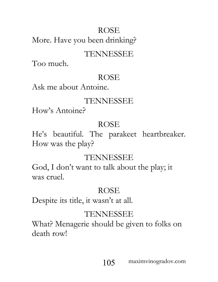# ROSE More. Have you been drinking?

## TENNESSEE

Too much.

## ROSE

Ask me about Antoine.

# TENNESSEE

How's Antoine?

# ROSE

He's beautiful. The parakeet heartbreaker. How was the play?

# TENNESSEE

God, I don't want to talk about the play; it was cruel.

# ROSE

Despite its title, it wasn't at all.

# TENNESSEE

What? Menagerie should be given to folks on death row!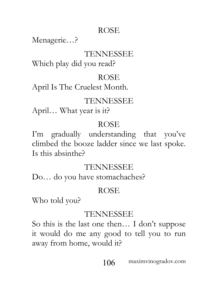## ROSE

Menagerie…?

## TENNESSEE

Which play did you read?

## ROSE

April Is The Cruelest Month.

# TENNESSEE

April… What year is it?

# ROSE

I'm gradually understanding that you've climbed the booze ladder since we last spoke. Is this absinthe?

# TENNESSEE

Do… do you have stomachaches?

# ROSE

Who told you?

# TENNESSEE

So this is the last one then… I don't suppose it would do me any good to tell you to run away from home, would it?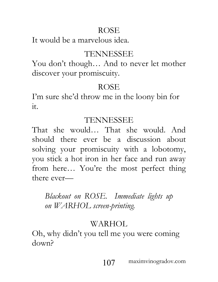## ROSE

It would be a marvelous idea.

## TENNESSEE

You don't though… And to never let mother discover your promiscuity.

# ROSE

I'm sure she'd throw me in the loony bin for it.

# TENNESSEE

That she would… That she would. And should there ever be a discussion about solving your promiscuity with a lobotomy, you stick a hot iron in her face and run away from here… You're the most perfect thing there ever—

# *Blackout on ROSE. Immediate lights up on WARHOL screen-printing.*

# WARHOL.

Oh, why didn't you tell me you were coming down?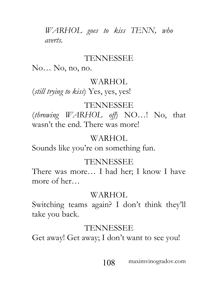*WARHOL goes to kiss TENN, who averts.*

### TENNESSEE

No… No, no, no.

#### WARHOL

(*still trying to kiss*) Yes, yes, yes!

### TENNESSEE

(*throwing WARHOL off*) NO…! No, that wasn't the end. There was more!

### WARHOL

Sounds like you're on something fun.

## TENNESSEE

There was more… I had her; I know I have more of her…

## WARHOL

Switching teams again? I don't think they'll take you back.

## TENNESSEE

Get away! Get away; I don't want to see you!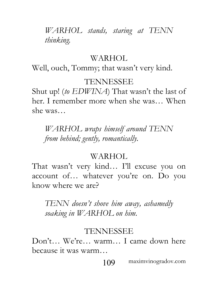*WARHOL stands, staring at TENN thinking.*

#### WARHOL

Well, ouch, Tommy; that wasn't very kind.

### TENNESSEE

Shut up! (*to EDWINA*) That wasn't the last of her. I remember more when she was… When she was…

*WARHOL wraps himself around TENN from behind; gently, romantically.*

### WARHOL

That wasn't very kind… I'll excuse you on account of… whatever you're on. Do you know where we are?

*TENN doesn't shove him away, ashamedly soaking in WARHOL on him.*

#### TENNESSEE

Don't… We're… warm… I came down here because it was warm…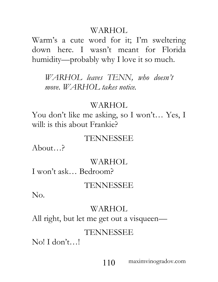Warm's a cute word for it; I'm sweltering down here. I wasn't meant for Florida humidity—probably why I love it so much.

*WARHOL leaves TENN, who doesn't move. WARHOL takes notice.*

## WARHOL

You don't like me asking, so I won't… Yes, I will: is this about Frankie?

### TENNESSEE

About…?

### WARHOL.

I won't ask… Bedroom?

#### TENNESSEE

No.

### WARHOL

All right, but let me get out a visqueen—

### TENNESSEE

No! I don't…!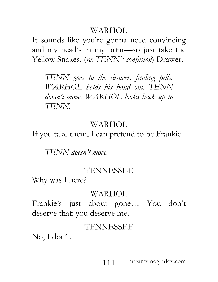It sounds like you're gonna need convincing and my head's in my print—so just take the Yellow Snakes. (*re: TENN's confusion*) Drawer.

*TENN goes to the drawer, finding pills. WARHOL holds his hand out. TENN doesn't move. WARHOL looks back up to TENN.*

# WARHOL

If you take them, I can pretend to be Frankie.

*TENN doesn't move.*

## TENNESSEE

Why was I here?

### WARHOL

Frankie's just about gone… You don't deserve that; you deserve me.

## TENNESSEE

No, I don't.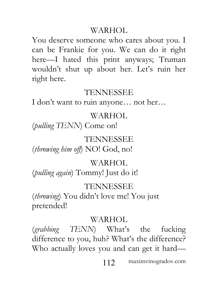You deserve someone who cares about you. I can be Frankie for you. We can do it right here—I hated this print anyways; Truman wouldn't shut up about her. Let's ruin her right here.

### TENNESSEE

I don't want to ruin anyone… not her…

### WARHOL

(*pulling TENN*) Come on!

#### TENNESSEE

(*throwing him off*) NO! God, no!

### WARHOL.

(*pulling again*) Tommy! Just do it!

#### TENNESSEE

(*throwing*) You didn't love me! You just pretended!

#### WARHOL

(*grabbing TENN*) What's the fucking difference to you, huh? What's the difference? Who actually loves you and can get it hard—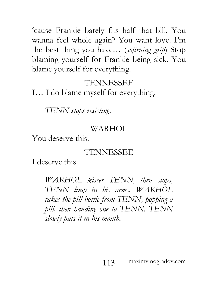'cause Frankie barely fits half that bill. You wanna feel whole again? You want love. I'm the best thing you have… (*softening grip*) Stop blaming yourself for Frankie being sick. You blame yourself for everything.

### TENNESSEE

I… I do blame myself for everything.

*TENN stops resisting.*

#### WARHOL

You deserve this.

#### TENNESSEE

I deserve this.

*WARHOL kisses TENN, then stops, TENN limp in his arms. WARHOL takes the pill bottle from TENN, popping a pill, then handing one to TENN. TENN slowly puts it in his mouth.*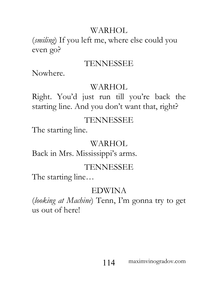(*smiling*) If you left me, where else could you even go?

## TENNESSEE

Nowhere.

## WARHOL

Right. You'd just run till you're back the starting line. And you don't want that, right?

## TENNESSEE

The starting line.

## WARHOL

Back in Mrs. Mississippi's arms.

# TENNESSEE

The starting line…

# EDWINA

(*looking at Machine*) Tenn, I'm gonna try to get us out of here!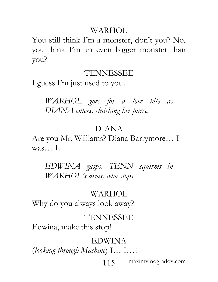You still think I'm a monster, don't you? No, you think I'm an even bigger monster than you?

## TENNESSEE

I guess I'm just used to you…

*WARHOL goes for a love bite as DIANA enters, clutching her purse.*

# DIANA

Are you Mr. Williams? Diana Barrymore… I was… I…

*EDWINA gasps. TENN squirms in WARHOL's arms, who stops.*

## WARHOL.

Why do you always look away?

## TENNESSEE

Edwina, make this stop!

## EDWINA

(*looking through Machine*) I… I…!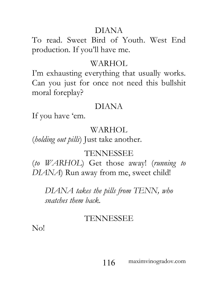## DIANA

To read. Sweet Bird of Youth. West End production. If you'll have me.

## WARHOL

I'm exhausting everything that usually works. Can you just for once not need this bullshit moral foreplay?

# DIANA

If you have 'em.

## WARHOL

(*holding out pills*) Just take another.

# TENNESSEE

(*to WARHOL*) Get those away! (*running to DIANA*) Run away from me, sweet child!

*DIANA takes the pills from TENN, who snatches them back.*

## TENNESSEE

No!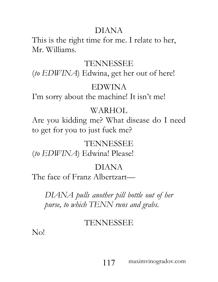# DIANA

This is the right time for me. I relate to her, Mr. Williams.

## TENNESSEE

(*to EDWINA*) Edwina, get her out of here!

## EDWINA

I'm sorry about the machine! It isn't me!

## WARHOL.

Are you kidding me? What disease do I need to get for you to just fuck me?

## TENNESSEE

(*to EDWINA*) Edwina! Please!

## DIANA

The face of Franz Albertzart—

*DIANA pulls another pill bottle out of her purse, to which TENN runs and grabs.*

# TENNESSEE

No!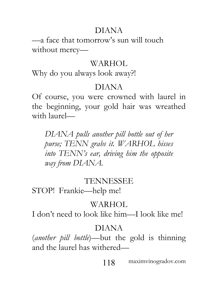# DIANA

—a face that tomorrow's sun will touch without mercy—

## WARHOL

Why do you always look away?!

# DIANA

Of course, you were crowned with laurel in the beginning, your gold hair was wreathed with laurel—

*DIANA pulls another pill bottle out of her purse; TENN grabs it. WARHOL hisses into TENN's ear, driving him the opposite way from DIANA.*

## TENNESSEE

STOP! Frankie—help me!

# WARHOL.

I don't need to look like him—I look like me!

# DIANA

(*another pill bottle*)—but the gold is thinning and the laurel has withered—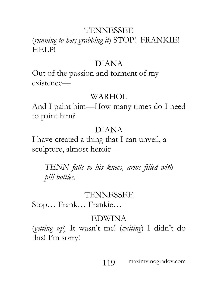# (*running to her; grabbing it*) STOP! FRANKIE! HELP!

### DIANA

Out of the passion and torment of my existence—

### WARHOL

And I paint him—How many times do I need to paint him?

## DIANA

I have created a thing that I can unveil, a sculpture, almost heroic—

*TENN falls to his knees, arms filled with pill bottles.*

## TENNESSEE

Stop… Frank… Frankie…

## EDWINA

(*getting up*) It wasn't me! (*exiting*) I didn't do this! I'm sorry!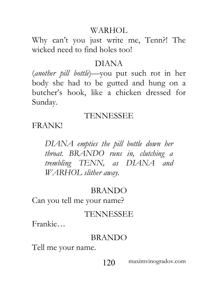Why can't you just write me, Tenn?! The wicked need to find holes too!

## DIANA

(*another pill bottle*)—you put such rot in her body she had to be gutted and hung on a butcher's hook, like a chicken dressed for Sunday.

# TENNESSEE

FRANK!

*DIANA empties the pill bottle down her throat. BRANDO runs in, clutching a trembling TENN, as DIANA and WARHOL slither away.*

# BRANDO

Can you tell me your name?

# TENNESSEE

Frankie…

## BRANDO

Tell me your name.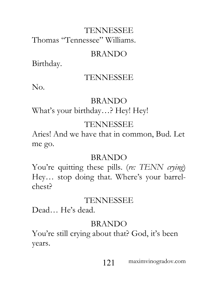# TENNESSEE Thomas "Tennessee" Williams.

## BRANDO

Birthday.

## TENNESSEE

No.

## BRANDO

What's your birthday…? Hey! Hey!

## TENNESSEE

Aries! And we have that in common, Bud. Let me go.

## BRANDO

You're quitting these pills. (*re: TENN crying*) Hey… stop doing that. Where's your barrelchest?

## TENNESSEE

Dead… He's dead.

## BRANDO

You're still crying about that? God, it's been years.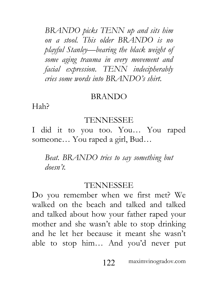*BRANDO picks TENN up and sits him on a stool. This older BRANDO is no playful Stanley—bearing the black weight of some aging trauma in every movement and facial expression. TENN indecipherably cries some words into BRANDO's shirt.*

#### BRANDO

Hah?

#### TENNESSEE

I did it to you too. You… You raped someone… You raped a girl, Bud…

*Beat. BRANDO tries to say something but doesn't.*

### TENNESSEE

Do you remember when we first met? We walked on the beach and talked and talked and talked about how your father raped your mother and she wasn't able to stop drinking and he let her because it meant she wasn't able to stop him… And you'd never put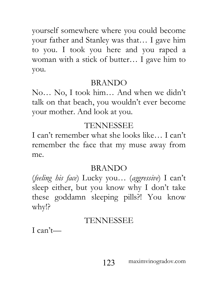yourself somewhere where you could become your father and Stanley was that… I gave him to you. I took you here and you raped a woman with a stick of butter… I gave him to you.

## BRANDO

No… No, I took him… And when we didn't talk on that beach, you wouldn't ever become your mother. And look at you.

# TENNESSEE

I can't remember what she looks like… I can't remember the face that my muse away from me.

## BRANDO

(*feeling his face*) Lucky you… (*aggressive*) I can't sleep either, but you know why I don't take these goddamn sleeping pills?! You know why!?

# TENNESSEE

 $I can't$ —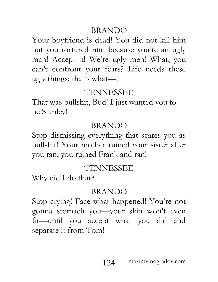## BRANDO

Your boyfriend is dead! You did not kill him but you tortured him because you're an ugly man! Accept it! We're ugly men! What, you can't confront your fears? Life needs these ugly things; that's what—!

# TENNESSEE

That was bullshit, Bud! I just wanted you to be Stanley!

# BRANDO

Stop dismissing everything that scares you as bullshit! Your mother ruined your sister after you ran; you ruined Frank and ran!

# TENNESSEE

Why did I do that?

# BRANDO

Stop crying! Face what happened! You're not gonna stomach you—your skin won't even fit—until you accept what you did and separate it from Tom!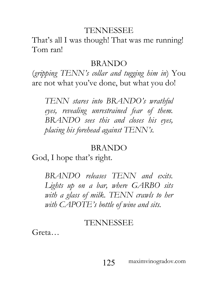That's all I was though! That was me running! Tom ran!

#### BRANDO

(*gripping TENN's collar and tugging him in*) You are not what you've done, but what you do!

*TENN stares into BRANDO's wrathful eyes, revealing unrestrained fear of them. BRANDO sees this and closes his eyes, placing his forehead against TENN's.*

#### BRANDO

God, I hope that's right.

*BRANDO releases TENN and exits. Lights up on a bar, where GARBO sits with a glass of milk. TENN crawls to her with CAPOTE's bottle of wine and sits.*

#### TENNESSEE

Greta…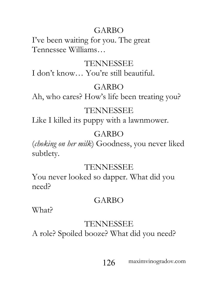# GARBO

I've been waiting for you. The great Tennessee Williams…

# TENNESSEE

I don't know… You're still beautiful.

# GARBO

Ah, who cares? How's life been treating you?

# TENNESSEE

Like I killed its puppy with a lawnmower.

# GARBO

(*choking on her milk*) Goodness, you never liked subtlety.

# TENNESSEE

You never looked so dapper. What did you need?

# GARBO

What?

# TENNESSEE

A role? Spoiled booze? What did you need?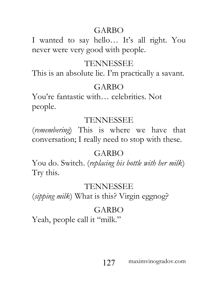# GARBO

I wanted to say hello… It's all right. You never were very good with people.

# TENNESSEE

This is an absolute lie. I'm practically a savant.

# GARBO

You're fantastic with… celebrities. Not people.

# TENNESSEE

(*remembering*) This is where we have that conversation; I really need to stop with these.

# GARBO

You do. Switch. (*replacing his bottle with her milk*) Try this.

# TENNESSEE

(*sipping milk*) What is this? Virgin eggnog?

# GARBO

Yeah, people call it "milk."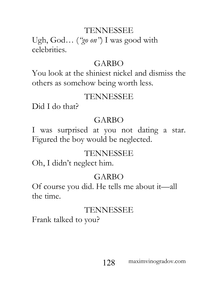Ugh, God… (*"go on"*) I was good with celebrities.

## GARBO

You look at the shiniest nickel and dismiss the others as somehow being worth less.

# TENNESSEE

Did I do that?

# GARBO

I was surprised at you not dating a star. Figured the boy would be neglected.

# TENNESSEE

Oh, I didn't neglect him.

# GARBO

Of course you did. He tells me about it—all the time.

# TENNESSEE

Frank talked to you?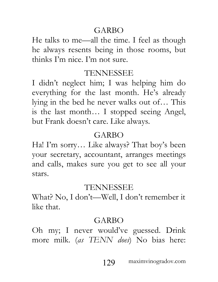## GARBO

He talks to me—all the time. I feel as though he always resents being in those rooms, but thinks I'm nice. I'm not sure.

# TENNESSEE

I didn't neglect him; I was helping him do everything for the last month. He's already lying in the bed he never walks out of… This is the last month… I stopped seeing Angel, but Frank doesn't care. Like always.

# GARBO

Ha! I'm sorry… Like always? That boy's been your secretary, accountant, arranges meetings and calls, makes sure you get to see all your stars.

## TENNESSEE

What? No, I don't—Well, I don't remember it like that.

# GARBO

Oh my; I never would've guessed. Drink more milk. (*as TENN does*) No bias here: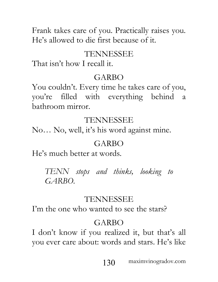Frank takes care of you. Practically raises you. He's allowed to die first because of it.

## TENNESSEE

That isn't how I recall it.

# GARBO

You couldn't. Every time he takes care of you, you're filled with everything behind a bathroom mirror.

# TENNESSEE

No… No, well, it's his word against mine.

# GARBO

He's much better at words.

*TENN stops and thinks, looking to GARBO.*

# TENNESSEE

I'm the one who wanted to see the stars?

# GARBO

I don't know if you realized it, but that's all you ever care about: words and stars. He's like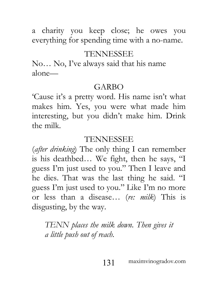a charity you keep close; he owes you everything for spending time with a no-name.

## TENNESSEE

No… No, I've always said that his name alone—

### GARBO

'Cause it's a pretty word. His name isn't what makes him. Yes, you were what made him interesting, but you didn't make him. Drink the milk.

## TENNESSEE

(*after drinking*) The only thing I can remember is his deathbed… We fight, then he says, "I guess I'm just used to you." Then I leave and he dies. That was the last thing he said. "I guess I'm just used to you." Like I'm no more or less than a disease… (*re: milk*) This is disgusting, by the way.

*TENN places the milk down. Then gives it a little push out of reach.*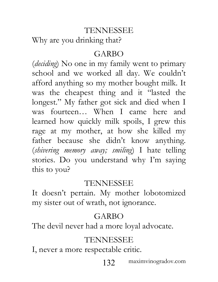Why are you drinking that?

### GARBO

(*deciding*) No one in my family went to primary school and we worked all day. We couldn't afford anything so my mother bought milk. It was the cheapest thing and it "lasted the longest." My father got sick and died when I was fourteen… When I came here and learned how quickly milk spoils, I grew this rage at my mother, at how she killed my father because she didn't know anything. (*shivering memory away; smiling*) I hate telling stories. Do you understand why I'm saying this to you?

#### TENNESSEE

It doesn't pertain. My mother lobotomized my sister out of wrath, not ignorance.

## GARBO

The devil never had a more loyal advocate.

## TENNESSEE

I, never a more respectable critic.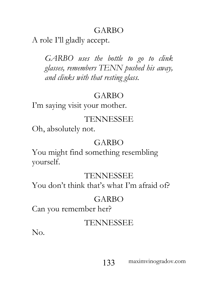# GARBO

A role I'll gladly accept.

*GARBO uses the bottle to go to clink glasses, remembers TENN pushed his away, and clinks with that resting glass.*

# GARBO

I'm saying visit your mother.

# TENNESSEE

Oh, absolutely not.

# GARBO

You might find something resembling yourself.

### TENNESSEE

You don't think that's what I'm afraid of?

## GARBO

Can you remember her?

## TENNESSEE

No.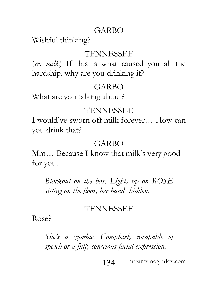## GARBO

Wishful thinking?

### TENNESSEE

(*re: milk*) If this is what caused you all the hardship, why are you drinking it?

### GARBO

What are you talking about?

#### TENNESSEE

I would've sworn off milk forever… How can you drink that?

## GARBO

Mm… Because I know that milk's very good for you.

*Blackout on the bar. Lights up on ROSE sitting on the floor, her hands hidden.*

### TENNESSEE

Rose?

*She's a zombie. Completely incapable of speech or a fully conscious facial expression.*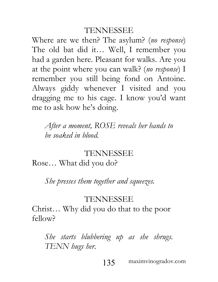Where are we then? The asylum? (*no response*) The old bat did it… Well, I remember you had a garden here. Pleasant for walks. Are you at the point where you can walk? (*no response*) I remember you still being fond on Antoine. Always giddy whenever I visited and you dragging me to his cage. I know you'd want me to ask how he's doing.

*After a moment, ROSE reveals her hands to be soaked in blood.*

#### TENNESSEE

Rose… What did you do?

*She presses them together and squeezes.*

#### TENNESSEE

Christ… Why did you do that to the poor fellow?

*She starts blubbering up as she shrugs. TENN hugs her.*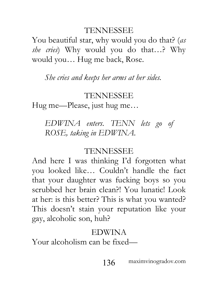You beautiful star, why would you do that? (*as she cries*) Why would you do that…? Why would you… Hug me back, Rose.

*She cries and keeps her arms at her sides.*

## TENNESSEE

Hug me—Please, just hug me…

*EDWINA enters. TENN lets go of ROSE, taking in EDWINA.*

## TENNESSEE

And here I was thinking I'd forgotten what you looked like… Couldn't handle the fact that your daughter was fucking boys so you scrubbed her brain clean?! You lunatic! Look at her: is this better? This is what you wanted? This doesn't stain your reputation like your gay, alcoholic son, huh?

## EDWINA

Your alcoholism can be fixed—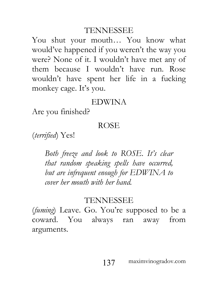You shut your mouth… You know what would've happened if you weren't the way you were? None of it. I wouldn't have met any of them because I wouldn't have run. Rose wouldn't have spent her life in a fucking monkey cage. It's you.

#### EDWINA

Are you finished?

#### ROSE

(*terrified*) Yes!

*Both freeze and look to ROSE. It's clear that random speaking spells have occurred, but are infrequent enough for EDWINA to cover her mouth with her hand.*

#### TENNESSEE

(*fuming*) Leave. Go. You're supposed to be a coward. You always ran away from arguments.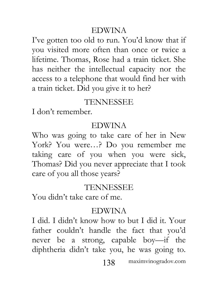### EDWINA

I've gotten too old to run. You'd know that if you visited more often than once or twice a lifetime. Thomas, Rose had a train ticket. She has neither the intellectual capacity nor the access to a telephone that would find her with a train ticket. Did you give it to her?

### TENNESSEE

I don't remember.

## EDWINA

Who was going to take care of her in New York? You were…? Do you remember me taking care of you when you were sick, Thomas? Did you never appreciate that I took care of you all those years?

### TENNESSEE

You didn't take care of me.

### EDWINA

I did. I didn't know how to but I did it. Your father couldn't handle the fact that you'd never be a strong, capable boy—if the diphtheria didn't take you, he was going to.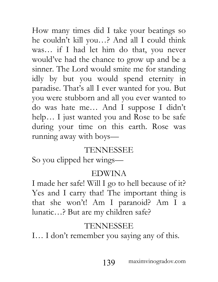How many times did I take your beatings so he couldn't kill you…? And all I could think was… if I had let him do that, you never would've had the chance to grow up and be a sinner. The Lord would smite me for standing idly by but you would spend eternity in paradise. That's all I ever wanted for you. But you were stubborn and all you ever wanted to do was hate me… And I suppose I didn't help… I just wanted you and Rose to be safe during your time on this earth. Rose was running away with boys—

### TENNESSEE

So you clipped her wings—

#### EDWINA

I made her safe! Will I go to hell because of it? Yes and I carry that! The important thing is that she won't! Am I paranoid? Am I a lunatic…? But are my children safe?

# TENNESSEE

I… I don't remember you saying any of this.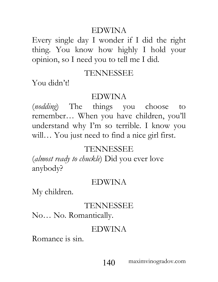### EDWINA

Every single day I wonder if I did the right thing. You know how highly I hold your opinion, so I need you to tell me I did.

## TENNESSEE

You didn't!

## EDWINA

(*nodding*) The things you choose to remember… When you have children, you'll understand why I'm so terrible. I know you will… You just need to find a nice girl first.

## TENNESSEE

(*almost ready to chuckle*) Did you ever love anybody?

### EDWINA

My children.

## TENNESSEE

No… No. Romantically.

## EDWINA

Romance is sin.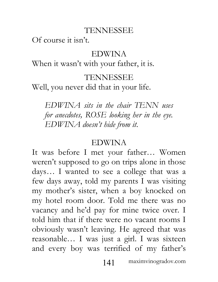Of course it isn't.

## EDWINA

When it wasn't with your father, it is.

## TENNESSEE

Well, you never did that in your life.

*EDWINA sits in the chair TENN uses for anecdotes, ROSE looking her in the eye. EDWINA doesn't hide from it.*

# EDWINA

It was before I met your father… Women weren't supposed to go on trips alone in those days… I wanted to see a college that was a few days away, told my parents I was visiting my mother's sister, when a boy knocked on my hotel room door. Told me there was no vacancy and he'd pay for mine twice over. I told him that if there were no vacant rooms I obviously wasn't leaving. He agreed that was reasonable… I was just a girl. I was sixteen and every boy was terrified of my father's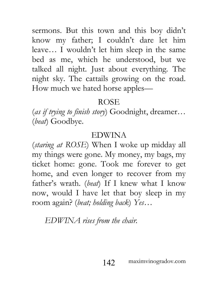sermons. But this town and this boy didn't know my father; I couldn't dare let him leave… I wouldn't let him sleep in the same bed as me, which he understood, but we talked all night. Just about everything. The night sky. The cattails growing on the road. How much we hated horse apples—

## ROSE

(*as if trying to finish story*) Goodnight, dreamer… (*beat*) Goodbye.

## EDWINA

(*staring at ROSE*) When I woke up midday all my things were gone. My money, my bags, my ticket home: gone. Took me forever to get home, and even longer to recover from my father's wrath. (*beat*) If I knew what I know now, would I have let that boy sleep in my room again? (*beat; holding back*) *Yes*…

*EDWINA rises from the chair.*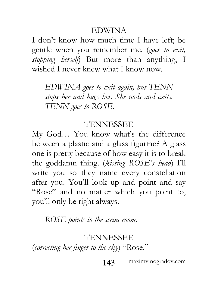### EDWINA

I don't know how much time I have left; be gentle when you remember me. (*goes to exit, stopping herself*) But more than anything, I wished I never knew what I know now.

*EDWINA goes to exit again, but TENN stops her and hugs her. She nods and exits. TENN goes to ROSE.*

## TENNESSEE

My God… You know what's the difference between a plastic and a glass figurine? A glass one is pretty because of how easy it is to break the goddamn thing. (*kissing ROSE's head*) I'll write you so they name every constellation after you. You'll look up and point and say "Rose" and no matter which you point to, you'll only be right always.

*ROSE points to the scrim room.*

## TENNESSEE

(*correcting her finger to the sky*) "Rose."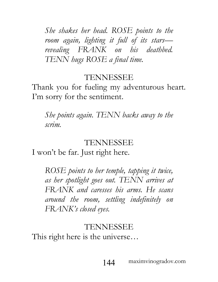*She shakes her head. ROSE points to the room again, lighting it full of its stars revealing FRANK on his deathbed. TENN hugs ROSE a final time.*

## TENNESSEE

Thank you for fueling my adventurous heart. I'm sorry for the sentiment.

*She points again. TENN backs away to the scrim.*

## TENNESSEE

I won't be far. Just right here.

*ROSE points to her temple, tapping it twice, as her spotlight goes out. TENN arrives at FRANK and caresses his arms. He scans around the room, settling indefinitely on FRANK's closed eyes.*

## TENNESSEE

This right here is the universe…